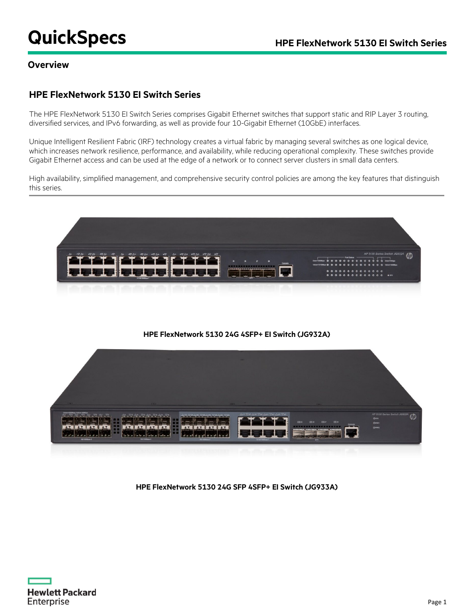# **QuickSpecs HPE FlexNetwork 5130 EI Switch Series**

### **Overview**

### **HPE FlexNetwork 5130 EI Switch Series**

The HPE FlexNetwork 5130 EI Switch Series comprises Gigabit Ethernet switches that support static and RIP Layer 3 routing, diversified services, and IPv6 forwarding, as well as provide four 10-Gigabit Ethernet (10GbE) interfaces.

Unique Intelligent Resilient Fabric (IRF) technology creates a virtual fabric by managing several switches as one logical device, which increases network resilience, performance, and availability, while reducing operational complexity. These switches provide Gigabit Ethernet access and can be used at the edge of a network or to connect server clusters in small data centers.

High availability, simplified management, and comprehensive security control policies are among the key features that distinguish this series.



#### **HPE FlexNetwork 5130 24G 4SFP+ EI Switch (JG932A)**



#### **HPE FlexNetwork 5130 24G SFP 4SFP+ EI Switch (JG933A)**

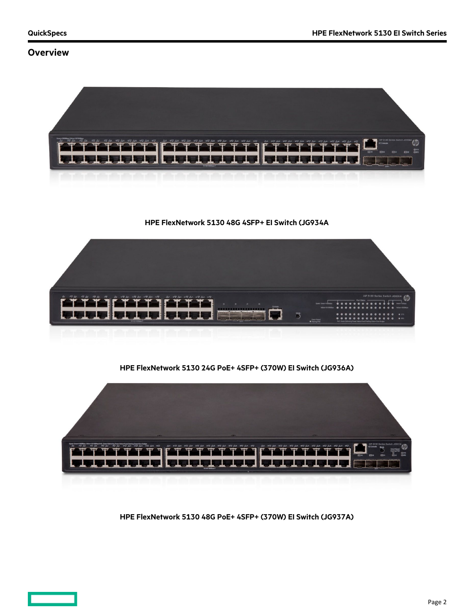### **Overview**



**HPE FlexNetwork 5130 48G 4SFP+ EI Switch (JG934A**



**HPE FlexNetwork 5130 24G PoE+ 4SFP+ (370W) EI Switch (JG936A)**



**HPE FlexNetwork 5130 48G PoE+ 4SFP+ (370W) EI Switch (JG937A)**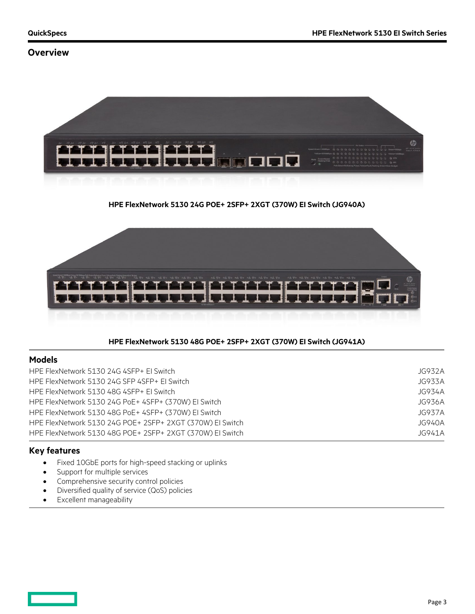### **Overview**



#### **HPE FlexNetwork 5130 24G POE+ 2SFP+ 2XGT (370W) EI Switch (JG940A)**



#### **HPE FlexNetwork 5130 48G POE+ 2SFP+ 2XGT (370W) EI Switch (JG941A)**

#### **Models**

| HPE FlexNetwork 5130 24G 4SFP+ El Switch                  | JG932A |
|-----------------------------------------------------------|--------|
| HPE FlexNetwork 5130 24G SFP 4SFP+ EL Switch              | JG933A |
| HPE FlexNetwork 5130 48G 4SFP+ El Switch                  | JG934A |
| HPE FlexNetwork 5130 24G PoE+ 4SFP+ (370W) El Switch      | JG936A |
| HPE FlexNetwork 5130 48G PoE+ 4SFP+ (370W) EI Switch      | JG937A |
| HPE FlexNetwork 5130 24G POE+ 2SFP+ 2XGT (370W) EI Switch | JG940A |
| HPE FlexNetwork 5130 48G POE+ 2SFP+ 2XGT (370W) EI Switch | JG941A |
|                                                           |        |

#### **Key features**

- Fixed 10GbE ports for high-speed stacking or uplinks
- Support for multiple services
- Comprehensive security control policies
- Diversified quality of service (QoS) policies
- Excellent manageability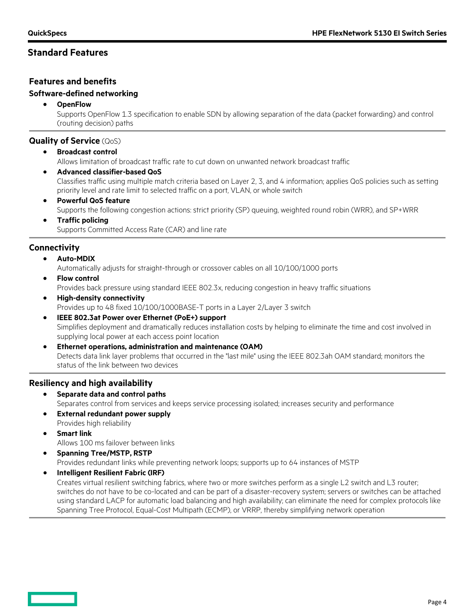### **Features and benefits**

#### **Software-defined networking**

• **OpenFlow**

Supports OpenFlow 1.3 specification to enable SDN by allowing separation of the data (packet forwarding) and control (routing decision) paths

### **Quality of Service** (QoS)

- **Broadcast control** Allows limitation of broadcast traffic rate to cut down on unwanted network broadcast traffic
- **Advanced classifier-based QoS** Classifies traffic using multiple match criteria based on Layer 2, 3, and 4 information; applies QoS policies such as setting priority level and rate limit to selected traffic on a port, VLAN, or whole switch
- **Powerful QoS feature** Supports the following congestion actions: strict priority (SP) queuing, weighted round robin (WRR), and SP+WRR
- **Traffic policing** Supports Committed Access Rate (CAR) and line rate

### **Connectivity**

• **Auto-MDIX**

Automatically adjusts for straight-through or crossover cables on all 10/100/1000 ports

- **Flow control** Provides back pressure using standard IEEE 802.3x, reducing congestion in heavy traffic situations
- **High-density connectivity** Provides up to 48 fixed 10/100/1000BASE-T ports in a Layer 2/Layer 3 switch
- **IEEE 802.3at Power over Ethernet (PoE+) support** Simplifies deployment and dramatically reduces installation costs by helping to eliminate the time and cost involved in supplying local power at each access point location
- **Ethernet operations, administration and maintenance (OAM)** Detects data link layer problems that occurred in the "last mile" using the IEEE 802.3ah OAM standard; monitors the status of the link between two devices

### **Resiliency and high availability**

- **Separate data and control paths** Separates control from services and keeps service processing isolated; increases security and performance
- **External redundant power supply** Provides high reliability
- **Smart link** Allows 100 ms failover between links
- **Spanning Tree/MSTP, RSTP** Provides redundant links while preventing network loops; supports up to 64 instances of MSTP
- **Intelligent Resilient Fabric (IRF)**

Creates virtual resilient switching fabrics, where two or more switches perform as a single L2 switch and L3 router; switches do not have to be co-located and can be part of a disaster-recovery system; servers or switches can be attached using standard LACP for automatic load balancing and high availability; can eliminate the need for complex protocols like Spanning Tree Protocol, Equal-Cost Multipath (ECMP), or VRRP, thereby simplifying network operation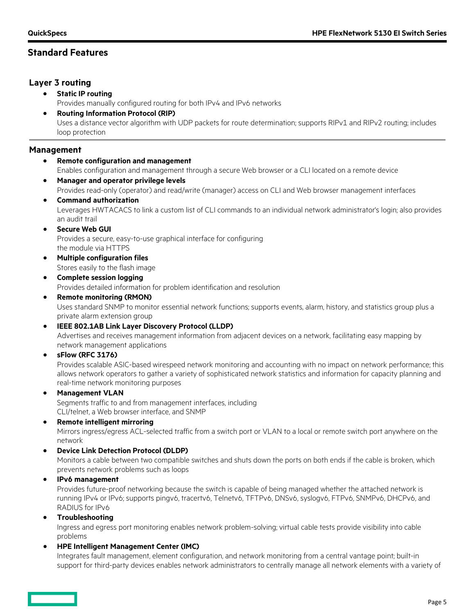### **Layer 3 routing**

- **Static IP routing** Provides manually configured routing for both IPv4 and IPv6 networks
- **Routing Information Protocol (RIP)** Uses a distance vector algorithm with UDP packets for route determination; supports RIPv1 and RIPv2 routing; includes loop protection

### **Management**

- **Remote configuration and management** Enables configuration and management through a secure Web browser or a CLI located on a remote device • **Manager and operator privilege levels**
- Provides read-only (operator) and read/write (manager) access on CLI and Web browser management interfaces
- **Command authorization** Leverages HWTACACS to link a custom list of CLI commands to an individual network administrator's login; also provides an audit trail
- **Secure Web GUI** Provides a secure, easy-to-use graphical interface for configuring the module via HTTPS
- **Multiple configuration files** Stores easily to the flash image
- **Complete session logging** Provides detailed information for problem identification and resolution
- **Remote monitoring (RMON)** Uses standard SNMP to monitor essential network functions; supports events, alarm, history, and statistics group plus a private alarm extension group
- **IEEE 802.1AB Link Layer Discovery Protocol (LLDP)**

Advertises and receives management information from adjacent devices on a network, facilitating easy mapping by network management applications

#### • **sFlow (RFC 3176)**

Provides scalable ASIC-based wirespeed network monitoring and accounting with no impact on network performance; this allows network operators to gather a variety of sophisticated network statistics and information for capacity planning and real-time network monitoring purposes

#### • **Management VLAN**

Segments traffic to and from management interfaces, including CLI/telnet, a Web browser interface, and SNMP

#### • **Remote intelligent mirroring**

Mirrors ingress/egress ACL-selected traffic from a switch port or VLAN to a local or remote switch port anywhere on the network

#### • **Device Link Detection Protocol (DLDP)**

Monitors a cable between two compatible switches and shuts down the ports on both ends if the cable is broken, which prevents network problems such as loops

#### • **IPv6 management**

Provides future-proof networking because the switch is capable of being managed whether the attached network is running IPv4 or IPv6; supports pingv6, tracertv6, Telnetv6, TFTPv6, DNSv6, syslogv6, FTPv6, SNMPv6, DHCPv6, and RADIUS for IPv6

#### • **Troubleshooting**

Ingress and egress port monitoring enables network problem-solving; virtual cable tests provide visibility into cable problems

#### • **HPE Intelligent Management Center (IMC)**

Integrates fault management, element configuration, and network monitoring from a central vantage point; built-in support for third-party devices enables network administrators to centrally manage all network elements with a variety of

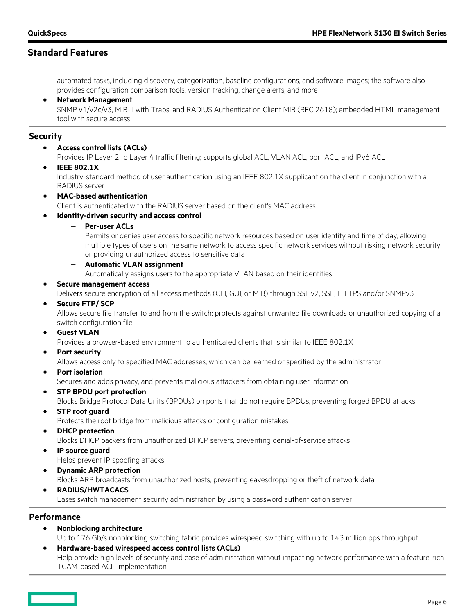automated tasks, including discovery, categorization, baseline configurations, and software images; the software also provides configuration comparison tools, version tracking, change alerts, and more

#### • **Network Management**

SNMP v1/v2c/v3, MIB-II with Traps, and RADIUS Authentication Client MIB (RFC 2618); embedded HTML management tool with secure access

#### **Security**

• **Access control lists (ACLs)**

Provides IP Layer 2 to Layer 4 traffic filtering; supports global ACL, VLAN ACL, port ACL, and IPv6 ACL

• **IEEE 802.1X**

Industry-standard method of user authentication using an IEEE 802.1X supplicant on the client in conjunction with a RADIUS server

• **MAC-based authentication**

Client is authenticated with the RADIUS server based on the client's MAC address

#### • **Identity-driven security and access control**

− **Per-user ACLs**

Permits or denies user access to specific network resources based on user identity and time of day, allowing multiple types of users on the same network to access specific network services without risking network security or providing unauthorized access to sensitive data

− **Automatic VLAN assignment**

Automatically assigns users to the appropriate VLAN based on their identities

• **Secure management access**

Delivers secure encryption of all access methods (CLI, GUI, or MIB) through SSHv2, SSL, HTTPS and/or SNMPv3

• **Secure FTP/ SCP**

Allows secure file transfer to and from the switch; protects against unwanted file downloads or unauthorized copying of a switch configuration file

• **Guest VLAN**

Provides a browser-based environment to authenticated clients that is similar to IEEE 802.1X

• **Port security**

Allows access only to specified MAC addresses, which can be learned or specified by the administrator

• **Port isolation**

Secures and adds privacy, and prevents malicious attackers from obtaining user information

• **STP BPDU port protection**

Blocks Bridge Protocol Data Units (BPDUs) on ports that do not require BPDUs, preventing forged BPDU attacks

• **STP root guard**

Protects the root bridge from malicious attacks or configuration mistakes

• **DHCP protection**

Blocks DHCP packets from unauthorized DHCP servers, preventing denial-of-service attacks

- **IP source guard**
	- Helps prevent IP spoofing attacks
- **Dynamic ARP protection** Blocks ARP broadcasts from unauthorized hosts, preventing eavesdropping or theft of network data
- **RADIUS/HWTACACS** Eases switch management security administration by using a password authentication server

#### **Performance**

• **Nonblocking architecture**

Up to 176 Gb/s nonblocking switching fabric provides wirespeed switching with up to 143 million pps throughput

• **Hardware-based wirespeed access control lists (ACLs)** Help provide high levels of security and ease of administration without impacting network performance with a feature-rich TCAM-based ACL implementation

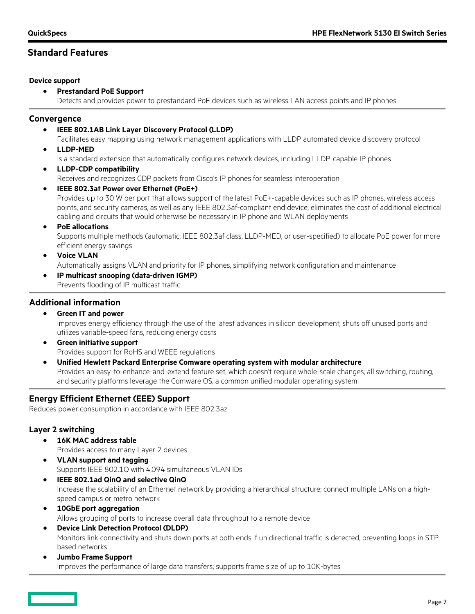#### **Device support**

• **Prestandard PoE Support**

Detects and provides power to prestandard PoE devices such as wireless LAN access points and IP phones

### **Convergence**

• **IEEE 802.1AB Link Layer Discovery Protocol (LLDP)**

Facilitates easy mapping using network management applications with LLDP automated device discovery protocol

• **LLDP-MED**

Is a standard extension that automatically configures network devices, including LLDP-capable IP phones

• **LLDP-CDP compatibility**

Receives and recognizes CDP packets from Cisco's IP phones for seamless interoperation

- **IEEE 802.3at Power over Ethernet (PoE+)** Provides up to 30 W per port that allows support of the latest PoE+-capable devices such as IP phones, wireless access points, and security cameras, as well as any IEEE 802.3af-compliant end device; eliminates the cost of additional electrical cabling and circuits that would otherwise be necessary in IP phone and WLAN deployments
- **PoE allocations**

Supports multiple methods (automatic, IEEE 802.3af class, LLDP-MED, or user-specified) to allocate PoE power for more efficient energy savings

- **Voice VLAN**
	- Automatically assigns VLAN and priority for IP phones, simplifying network configuration and maintenance
- **IP multicast snooping (data-driven IGMP)**

Prevents flooding of IP multicast traffic

### **Additional information**

- **Green IT and power** Improves energy efficiency through the use of the latest advances in silicon development; shuts off unused ports and utilizes variable-speed fans, reducing energy costs
- **Green initiative support** Provides support for RoHS and WEEE regulations
- **Unified Hewlett Packard Enterprise Comware operating system with modular architecture** Provides an easy-to-enhance-and-extend feature set, which doesn't require whole-scale changes; all switching, routing, and security platforms leverage the Comware OS, a common unified modular operating system

### **Energy Efficient Ethernet (EEE) Support**

Reduces power consumption in accordance with IEEE 802.3az

### **Layer 2 switching**

- **16K MAC address table** Provides access to many Layer 2 devices
- **VLAN support and tagging** Supports IEEE 802.1Q with 4,094 simultaneous VLAN IDs
- **IEEE 802.1ad QinQ and selective QinQ** Increase the scalability of an Ethernet network by providing a hierarchical structure; connect multiple LANs on a highspeed campus or metro network
- **10GbE port aggregation** Allows grouping of ports to increase overall data throughput to a remote device
- **Device Link Detection Protocol (DLDP)** Monitors link connectivity and shuts down ports at both ends if unidirectional traffic is detected, preventing loops in STPbased networks
- **Jumbo Frame Support** Improves the performance of large data transfers; supports frame size of up to 10K-bytes

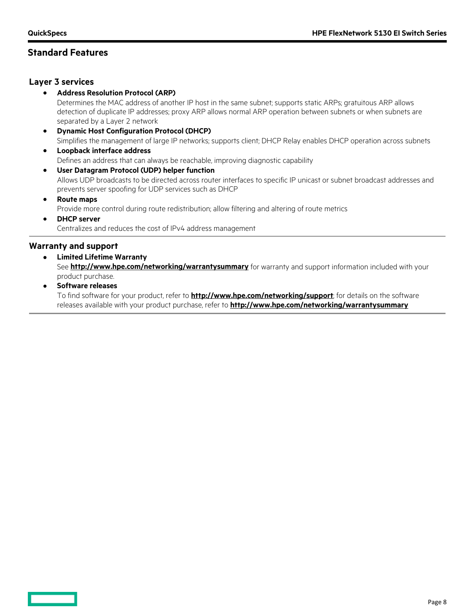#### **Layer 3 services**

• **Address Resolution Protocol (ARP)**

Determines the MAC address of another IP host in the same subnet; supports static ARPs; gratuitous ARP allows detection of duplicate IP addresses; proxy ARP allows normal ARP operation between subnets or when subnets are separated by a Layer 2 network

- **Dynamic Host Configuration Protocol (DHCP)** Simplifies the management of large IP networks; supports client; DHCP Relay enables DHCP operation across subnets
- **Loopback interface address** Defines an address that can always be reachable, improving diagnostic capability
- **User Datagram Protocol (UDP) helper function** Allows UDP broadcasts to be directed across router interfaces to specific IP unicast or subnet broadcast addresses and prevents server spoofing for UDP services such as DHCP
- **Route maps**

Provide more control during route redistribution; allow filtering and altering of route metrics

• **DHCP server** Centralizes and reduces the cost of IPv4 address management

### **Warranty and support**

• **Limited Lifetime Warranty**

See **<http://www.hpe.com/networking/warrantysummary>** for warranty and support information included with your product purchase.

• **Software releases**

To find software for your product, refer to **<http://www.hpe.com/networking/support>**; for details on the software releases available with your product purchase, refer to **<http://www.hpe.com/networking/warrantysummary>**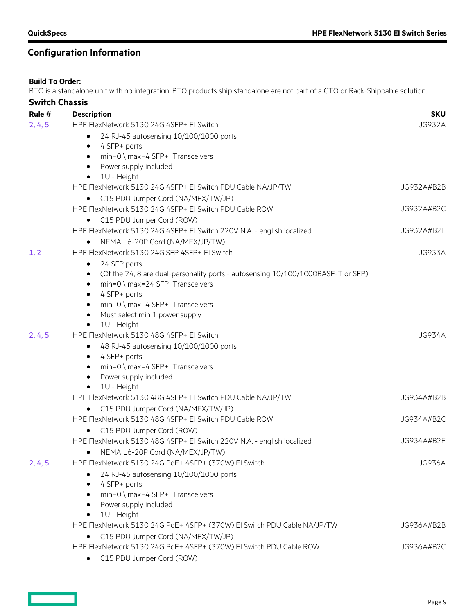# **Configuration Information**

### **Build To Order:**

BTO is a standalone unit with no integration. BTO products ship standalone are not part of a CTO or Rack-Shippable solution.

| <b>Switch Chassis</b> |                                                                                                     |               |
|-----------------------|-----------------------------------------------------------------------------------------------------|---------------|
| Rule #                | <b>Description</b>                                                                                  | <b>SKU</b>    |
| 2, 4, 5               | HPE FlexNetwork 5130 24G 4SFP+ EI Switch                                                            | <b>JG932A</b> |
|                       | 24 RJ-45 autosensing 10/100/1000 ports<br>$\bullet$                                                 |               |
|                       | 4 SFP+ ports<br>$\bullet$                                                                           |               |
|                       | $min=0 \setminus max=4$ SFP+ Transceivers<br>$\bullet$                                              |               |
|                       | Power supply included<br>$\bullet$                                                                  |               |
|                       | 1U - Height<br>$\bullet$                                                                            |               |
|                       | HPE FlexNetwork 5130 24G 4SFP+ EI Switch PDU Cable NA/JP/TW                                         | JG932A#B2B    |
|                       | • C15 PDU Jumper Cord (NA/MEX/TW/JP)                                                                |               |
|                       | HPE FlexNetwork 5130 24G 4SFP+ EI Switch PDU Cable ROW                                              | JG932A#B2C    |
|                       | C15 PDU Jumper Cord (ROW)<br>$\bullet$                                                              |               |
|                       | HPE FlexNetwork 5130 24G 4SFP+ EI Switch 220V N.A. - english localized                              | JG932A#B2E    |
|                       | NEMA L6-20P Cord (NA/MEX/JP/TW)                                                                     |               |
| 1, 2                  | HPE FlexNetwork 5130 24G SFP 4SFP+ EI Switch                                                        | JG933A        |
|                       | 24 SFP ports<br>٠                                                                                   |               |
|                       | (Of the 24, 8 are dual-personality ports - autosensing 10/100/1000BASE-T or SFP)                    |               |
|                       | min=0 \ max=24 SFP Transceivers<br>٠                                                                |               |
|                       | 4 SFP+ ports<br>$\bullet$                                                                           |               |
|                       | $min=0 \setminus max=4$ SFP+ Transceivers<br>$\bullet$                                              |               |
|                       | Must select min 1 power supply<br>$\bullet$                                                         |               |
|                       | 1U - Height<br>$\bullet$                                                                            |               |
| 2, 4, 5               | HPE FlexNetwork 5130 48G 4SFP+ El Switch                                                            | JG934A        |
|                       | 48 RJ-45 autosensing 10/100/1000 ports<br>$\bullet$                                                 |               |
|                       | 4 SFP+ ports<br>$\bullet$                                                                           |               |
|                       | $min=0 \setminus max=4$ SFP+ Transceivers<br>$\bullet$                                              |               |
|                       | Power supply included<br>٠                                                                          |               |
|                       | 1U - Height<br>HPE FlexNetwork 5130 48G 4SFP+ EI Switch PDU Cable NA/JP/TW                          | JG934A#B2B    |
|                       |                                                                                                     |               |
|                       | C15 PDU Jumper Cord (NA/MEX/TW/JP)                                                                  |               |
|                       | HPE FlexNetwork 5130 48G 4SFP+ EI Switch PDU Cable ROW                                              | JG934A#B2C    |
|                       | C15 PDU Jumper Cord (ROW)<br>$\bullet$                                                              |               |
|                       | HPE FlexNetwork 5130 48G 4SFP+ EI Switch 220V N.A. - english localized                              | JG934A#B2E    |
|                       | NEMA L6-20P Cord (NA/MEX/JP/TW)                                                                     |               |
| 2, 4, 5               | HPE FlexNetwork 5130 24G PoE+ 4SFP+ (370W) EI Switch                                                | <b>JG936A</b> |
|                       | 24 RJ-45 autosensing 10/100/1000 ports                                                              |               |
|                       | 4 SFP+ ports<br>$\bullet$                                                                           |               |
|                       | $min=0 \setminus max=4$ SFP+ Transceivers                                                           |               |
|                       | Power supply included<br>$\bullet$                                                                  |               |
|                       | 1U - Height<br>$\bullet$<br>HPE FlexNetwork 5130 24G PoE+ 4SFP+ (370W) EI Switch PDU Cable NA/JP/TW | JG936A#B2B    |
|                       |                                                                                                     |               |
|                       | C15 PDU Jumper Cord (NA/MEX/TW/JP)                                                                  |               |
|                       | HPE FlexNetwork 5130 24G PoE+ 4SFP+ (370W) EI Switch PDU Cable ROW                                  | JG936A#B2C    |
|                       | C15 PDU Jumper Cord (ROW)<br>$\bullet$                                                              |               |

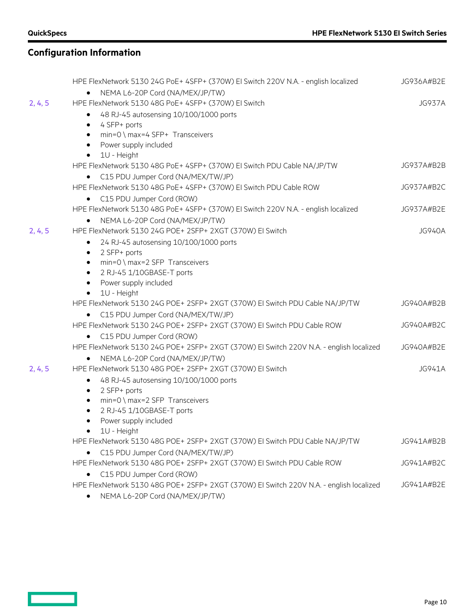<u>and a strong part of</u>

# **Configuration Information**

|         | HPE FlexNetwork 5130 24G PoE+ 4SFP+ (370W) EI Switch 220V N.A. - english localized      | JG936A#B2E    |
|---------|-----------------------------------------------------------------------------------------|---------------|
|         | NEMA L6-20P Cord (NA/MEX/JP/TW)                                                         |               |
| 2, 4, 5 | HPE FlexNetwork 5130 48G PoE+ 4SFP+ (370W) El Switch                                    | <b>JG937A</b> |
|         | 48 RJ-45 autosensing 10/100/1000 ports<br>$\bullet$                                     |               |
|         | 4 SFP+ ports<br>٠                                                                       |               |
|         | min=0 \ max=4 SFP+ Transceivers<br>$\bullet$                                            |               |
|         | Power supply included<br>$\bullet$                                                      |               |
|         | 1U - Height<br>$\bullet$                                                                |               |
|         | HPE FlexNetwork 5130 48G PoE+ 4SFP+ (370W) EI Switch PDU Cable NA/JP/TW                 | JG937A#B2B    |
|         | • C15 PDU Jumper Cord (NA/MEX/TW/JP)                                                    |               |
|         | HPE FlexNetwork 5130 48G PoE+ 4SFP+ (370W) EI Switch PDU Cable ROW                      | JG937A#B2C    |
|         | C15 PDU Jumper Cord (ROW)                                                               |               |
|         | HPE FlexNetwork 5130 48G PoE+ 4SFP+ (370W) EI Switch 220V N.A. - english localized      | JG937A#B2E    |
|         | NEMA L6-20P Cord (NA/MEX/JP/TW)<br>$\bullet$                                            |               |
| 2, 4, 5 | HPE FlexNetwork 5130 24G POE+ 2SFP+ 2XGT (370W) El Switch                               | <b>JG940A</b> |
|         | 24 RJ-45 autosensing 10/100/1000 ports<br>$\bullet$                                     |               |
|         | 2 SFP+ ports<br>$\bullet$                                                               |               |
|         | min=0 \ max=2 SFP Transceivers<br>$\bullet$                                             |               |
|         | 2 RJ-45 1/10GBASE-T ports<br>$\bullet$                                                  |               |
|         | Power supply included<br>$\bullet$                                                      |               |
|         | 1U - Height<br>$\bullet$                                                                |               |
|         | HPE FlexNetwork 5130 24G POE+ 2SFP+ 2XGT (370W) EI Switch PDU Cable NA/JP/TW            | JG940A#B2B    |
|         | C15 PDU Jumper Cord (NA/MEX/TW/JP)                                                      |               |
|         | HPE FlexNetwork 5130 24G POE+ 2SFP+ 2XGT (370W) EI Switch PDU Cable ROW                 | JG940A#B2C    |
|         | C15 PDU Jumper Cord (ROW)<br>$\bullet$                                                  |               |
|         | HPE FlexNetwork 5130 24G POE+ 2SFP+ 2XGT (370W) EI Switch 220V N.A. - english localized | JG940A#B2E    |
|         | NEMA L6-20P Cord (NA/MEX/JP/TW)<br>$\bullet$                                            |               |
| 2, 4, 5 | HPE FlexNetwork 5130 48G POE+ 2SFP+ 2XGT (370W) El Switch                               | <b>JG941A</b> |
|         | 48 RJ-45 autosensing 10/100/1000 ports<br>٠                                             |               |
|         | 2 SFP+ ports<br>$\bullet$                                                               |               |
|         | min=0 \ max=2 SFP Transceivers<br>$\bullet$                                             |               |
|         | 2 RJ-45 1/10GBASE-T ports<br>٠                                                          |               |
|         | Power supply included<br>$\bullet$                                                      |               |
|         | 1U - Height                                                                             |               |
|         | HPE FlexNetwork 5130 48G POE+ 2SFP+ 2XGT (370W) EI Switch PDU Cable NA/JP/TW            | JG941A#B2B    |
|         | C15 PDU Jumper Cord (NA/MEX/TW/JP)                                                      |               |
|         | HPE FlexNetwork 5130 48G POE+ 2SFP+ 2XGT (370W) El Switch PDU Cable ROW                 | JG941A#B2C    |
|         | C15 PDU Jumper Cord (ROW)<br>٠                                                          |               |
|         | HPE FlexNetwork 5130 48G POE+ 2SFP+ 2XGT (370W) EI Switch 220V N.A. - english localized | JG941A#B2E    |
|         | NEMA L6-20P Cord (NA/MEX/JP/TW)                                                         |               |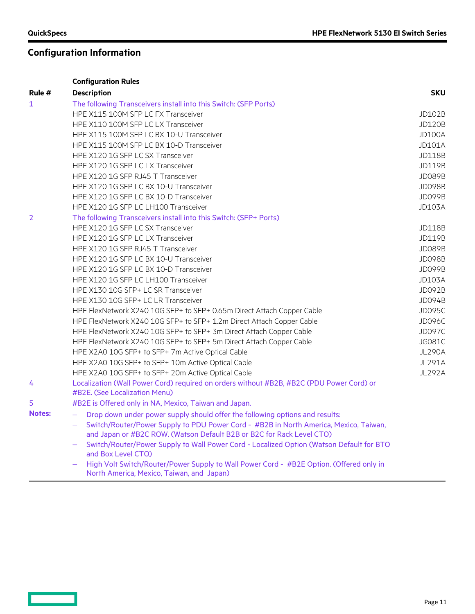**Contract** 

# **Configuration Information**

|               | <b>Configuration Rules</b>                                                                                                                                     |               |  |
|---------------|----------------------------------------------------------------------------------------------------------------------------------------------------------------|---------------|--|
| Rule #        | <b>Description</b>                                                                                                                                             | <b>SKU</b>    |  |
| 1             | The following Transceivers install into this Switch: (SFP Ports)                                                                                               |               |  |
|               | HPE X115 100M SFP LC FX Transceiver                                                                                                                            | JD102B        |  |
|               | HPE X110 100M SFP LC LX Transceiver                                                                                                                            | <b>JD120B</b> |  |
|               | HPE X115 100M SFP LC BX 10-U Transceiver                                                                                                                       | <b>JD100A</b> |  |
|               | HPE X115 100M SFP LC BX 10-D Transceiver                                                                                                                       | <b>JD101A</b> |  |
|               | HPE X120 1G SFP LC SX Transceiver                                                                                                                              | <b>JD118B</b> |  |
|               | HPE X120 1G SFP LC LX Transceiver                                                                                                                              | JD119B        |  |
|               | HPE X120 1G SFP RJ45 T Transceiver                                                                                                                             | JD089B        |  |
|               | HPE X120 1G SFP LC BX 10-U Transceiver                                                                                                                         | JD098B        |  |
|               | HPE X120 1G SFP LC BX 10-D Transceiver                                                                                                                         | JD099B        |  |
|               | HPE X120 1G SFP LC LH100 Transceiver                                                                                                                           | <b>JD103A</b> |  |
| 2             | The following Transceivers install into this Switch: (SFP+ Ports)                                                                                              |               |  |
|               | HPE X120 1G SFP LC SX Transceiver                                                                                                                              | <b>JD118B</b> |  |
|               | HPE X120 1G SFP LC LX Transceiver                                                                                                                              | JD119B        |  |
|               | HPE X120 1G SFP RJ45 T Transceiver                                                                                                                             | JD089B        |  |
|               | HPE X120 1G SFP LC BX 10-U Transceiver                                                                                                                         | JD098B        |  |
|               | HPE X120 1G SFP LC BX 10-D Transceiver                                                                                                                         | JD099B        |  |
|               | HPE X120 1G SFP LC LH100 Transceiver                                                                                                                           | <b>JD103A</b> |  |
|               | HPE X130 10G SFP+ LC SR Transceiver                                                                                                                            | JD092B        |  |
|               | HPE X130 10G SFP+ LC LR Transceiver                                                                                                                            | <b>JD094B</b> |  |
|               | HPE FlexNetwork X240 10G SFP+ to SFP+ 0.65m Direct Attach Copper Cable                                                                                         | <b>JD095C</b> |  |
|               | HPE FlexNetwork X240 10G SFP+ to SFP+ 1.2m Direct Attach Copper Cable                                                                                          | JD096C        |  |
|               | HPE FlexNetwork X240 10G SFP+ to SFP+ 3m Direct Attach Copper Cable                                                                                            | <b>JD097C</b> |  |
|               | HPE FlexNetwork X240 10G SFP+ to SFP+ 5m Direct Attach Copper Cable                                                                                            | <b>JG081C</b> |  |
|               | HPE X2A0 10G SFP+ to SFP+ 7m Active Optical Cable                                                                                                              | <b>JL290A</b> |  |
|               | HPE X2A0 10G SFP+ to SFP+ 10m Active Optical Cable                                                                                                             | <b>JL291A</b> |  |
|               | HPE X2A0 10G SFP+ to SFP+ 20m Active Optical Cable                                                                                                             |               |  |
| 4             | Localization (Wall Power Cord) required on orders without #B2B, #B2C (PDU Power Cord) or                                                                       |               |  |
|               | #B2E. (See Localization Menu)                                                                                                                                  |               |  |
| 5             | #B2E is Offered only in NA, Mexico, Taiwan and Japan.                                                                                                          |               |  |
| <b>Notes:</b> | Drop down under power supply should offer the following options and results:<br>$\overline{\phantom{0}}$                                                       |               |  |
|               | Switch/Router/Power Supply to PDU Power Cord - #B2B in North America, Mexico, Taiwan,<br>and Japan or #B2C ROW. (Watson Default B2B or B2C for Rack Level CTO) |               |  |
|               | Switch/Router/Power Supply to Wall Power Cord - Localized Option (Watson Default for BTO<br>and Box Level CTO)                                                 |               |  |
|               | High Volt Switch/Router/Power Supply to Wall Power Cord - #B2E Option. (Offered only in                                                                        |               |  |

North America, Mexico, Taiwan, and Japan)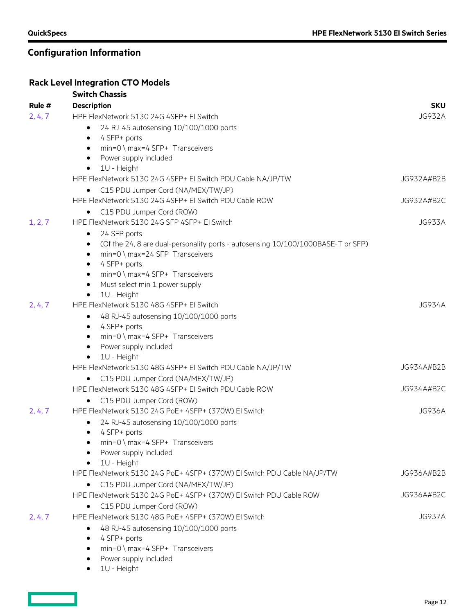# **Configuration Information**

### **Rack Level Integration CTO Models**

|         | <b>Switch Chassis</b>                                                                 |               |
|---------|---------------------------------------------------------------------------------------|---------------|
| Rule #  | <b>Description</b>                                                                    | <b>SKU</b>    |
| 2, 4, 7 | HPE FlexNetwork 5130 24G 4SFP+ EI Switch                                              | <b>JG932A</b> |
|         | 24 RJ-45 autosensing 10/100/1000 ports<br>$\bullet$                                   |               |
|         | 4 SFP+ ports<br>$\bullet$                                                             |               |
|         | min=0 \ max=4 SFP+ Transceivers<br>$\bullet$                                          |               |
|         | Power supply included<br>$\bullet$                                                    |               |
|         | 1U - Height<br>$\bullet$                                                              |               |
|         | HPE FlexNetwork 5130 24G 4SFP+ EI Switch PDU Cable NA/JP/TW                           | JG932A#B2B    |
|         | C15 PDU Jumper Cord (NA/MEX/TW/JP)                                                    |               |
|         | HPE FlexNetwork 5130 24G 4SFP+ EI Switch PDU Cable ROW                                | JG932A#B2C    |
|         | C15 PDU Jumper Cord (ROW)<br>$\bullet$                                                |               |
| 1, 2, 7 | HPE FlexNetwork 5130 24G SFP 4SFP+ El Switch                                          | JG933A        |
|         | 24 SFP ports<br>$\bullet$                                                             |               |
|         | (Of the 24, 8 are dual-personality ports - autosensing 10/100/1000BASE-T or SFP)<br>٠ |               |
|         | $min=0 \setminus max=24$ SFP Transceivers<br>$\bullet$                                |               |
|         | 4 SFP+ ports<br>٠                                                                     |               |
|         | $min=0 \setminus max=4$ SFP+ Transceivers<br>$\bullet$                                |               |
|         | Must select min 1 power supply<br>$\bullet$                                           |               |
|         | 1U - Height<br>٠                                                                      | <b>JG934A</b> |
| 2, 4, 7 | HPE FlexNetwork 5130 48G 4SFP+ EI Switch                                              |               |
|         | 48 RJ-45 autosensing 10/100/1000 ports<br>٠                                           |               |
|         | 4 SFP+ ports<br>$\bullet$<br>min=0 \ max=4 SFP+ Transceivers<br>$\bullet$             |               |
|         | Power supply included<br>$\bullet$                                                    |               |
|         | 1U - Height<br>$\bullet$                                                              |               |
|         | HPE FlexNetwork 5130 48G 4SFP+ EI Switch PDU Cable NA/JP/TW                           | JG934A#B2B    |
|         | C15 PDU Jumper Cord (NA/MEX/TW/JP)<br>$\bullet$                                       |               |
|         | HPE FlexNetwork 5130 48G 4SFP+ EI Switch PDU Cable ROW                                | JG934A#B2C    |
|         | C15 PDU Jumper Cord (ROW)                                                             |               |
| 2, 4, 7 | HPE FlexNetwork 5130 24G PoE+ 4SFP+ (370W) El Switch                                  | <b>JG936A</b> |
|         | 24 RJ-45 autosensing 10/100/1000 ports<br>٠                                           |               |
|         | 4 SFP+ ports<br>$\bullet$                                                             |               |
|         | $min=0 \setminus max=4$ SFP+ Transceivers                                             |               |
|         | Power supply included<br>$\bullet$                                                    |               |
|         | 1U - Height<br>$\bullet$                                                              |               |
|         | HPE FlexNetwork 5130 24G PoE+ 4SFP+ (370W) EI Switch PDU Cable NA/JP/TW               | JG936A#B2B    |
|         | C15 PDU Jumper Cord (NA/MEX/TW/JP)                                                    |               |
|         | HPE FlexNetwork 5130 24G PoE+ 4SFP+ (370W) EI Switch PDU Cable ROW                    | JG936A#B2C    |
|         | C15 PDU Jumper Cord (ROW)                                                             |               |
| 2, 4, 7 | HPE FlexNetwork 5130 48G PoE+ 4SFP+ (370W) El Switch                                  | <b>JG937A</b> |
|         | 48 RJ-45 autosensing 10/100/1000 ports<br>٠                                           |               |
|         | 4 SFP+ ports<br>$\bullet$                                                             |               |
|         | $min=0 \setminus max=4$ SFP+ Transceivers                                             |               |
|         | Power supply included                                                                 |               |

• 1U - Height

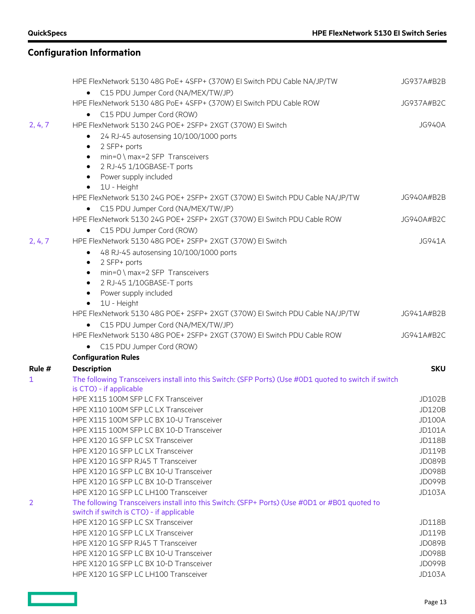$\qquad \qquad \Box$ 

|         | HPE FlexNetwork 5130 48G PoE+ 4SFP+ (370W) EI Switch PDU Cable NA/JP/TW                                                                   | JG937A#B2B    |
|---------|-------------------------------------------------------------------------------------------------------------------------------------------|---------------|
|         | • C15 PDU Jumper Cord (NA/MEX/TW/JP)<br>HPE FlexNetwork 5130 48G PoE+ 4SFP+ (370W) EI Switch PDU Cable ROW                                |               |
|         |                                                                                                                                           | JG937A#B2C    |
| 2, 4, 7 | C15 PDU Jumper Cord (ROW)<br>٠<br>HPE FlexNetwork 5130 24G POE+ 2SFP+ 2XGT (370W) EI Switch                                               | <b>JG940A</b> |
|         |                                                                                                                                           |               |
|         | 24 RJ-45 autosensing 10/100/1000 ports<br>$\bullet$<br>2 SFP+ ports<br>٠                                                                  |               |
|         | min=0 \ max=2 SFP Transceivers<br>$\bullet$                                                                                               |               |
|         | 2 RJ-45 1/10GBASE-T ports<br>$\bullet$                                                                                                    |               |
|         | Power supply included<br>$\bullet$                                                                                                        |               |
|         | 1U - Height<br>$\bullet$                                                                                                                  |               |
|         | HPE FlexNetwork 5130 24G POE+ 2SFP+ 2XGT (370W) EI Switch PDU Cable NA/JP/TW                                                              | JG940A#B2B    |
|         | C15 PDU Jumper Cord (NA/MEX/TW/JP)<br>$\bullet$                                                                                           |               |
|         | HPE FlexNetwork 5130 24G POE+ 2SFP+ 2XGT (370W) EI Switch PDU Cable ROW                                                                   | JG940A#B2C    |
|         | C15 PDU Jumper Cord (ROW)<br>$\bullet$                                                                                                    |               |
| 2, 4, 7 | HPE FlexNetwork 5130 48G POE+ 2SFP+ 2XGT (370W) EI Switch                                                                                 | <b>JG941A</b> |
|         | 48 RJ-45 autosensing 10/100/1000 ports<br>$\bullet$                                                                                       |               |
|         | 2 SFP+ ports<br>$\bullet$                                                                                                                 |               |
|         | min=0 \ max=2 SFP Transceivers<br>$\bullet$                                                                                               |               |
|         | 2 RJ-45 1/10GBASE-T ports<br>$\bullet$                                                                                                    |               |
|         | Power supply included<br>$\bullet$                                                                                                        |               |
|         | 1U - Height<br>٠                                                                                                                          |               |
|         | HPE FlexNetwork 5130 48G POE+ 2SFP+ 2XGT (370W) EI Switch PDU Cable NA/JP/TW                                                              | JG941A#B2B    |
|         | • C15 PDU Jumper Cord (NA/MEX/TW/JP)                                                                                                      |               |
|         | HPE FlexNetwork 5130 48G POE+ 2SFP+ 2XGT (370W) El Switch PDU Cable ROW                                                                   | JG941A#B2C    |
|         | • C15 PDU Jumper Cord (ROW)                                                                                                               |               |
|         | <b>Configuration Rules</b>                                                                                                                |               |
| Rule #  | <b>Description</b>                                                                                                                        | <b>SKU</b>    |
| 1       | The following Transceivers install into this Switch: (SFP Ports) (Use #0D1 quoted to switch if switch                                     |               |
|         | is CTO) - if applicable                                                                                                                   |               |
|         | HPE X115 100M SFP LC FX Transceiver                                                                                                       | <b>JD102B</b> |
|         | HPE X110 100M SFP LC LX Transceiver                                                                                                       | <b>JD120B</b> |
|         | HPE X115 100M SFP LC BX 10-U Transceiver                                                                                                  | <b>JD100A</b> |
|         | HPE X115 100M SFP LC BX 10-D Transceiver                                                                                                  | <b>JD101A</b> |
|         | HPE X120 1G SFP LC SX Transceiver                                                                                                         | <b>JD118B</b> |
|         | HPE X120 1G SFP LC LX Transceiver                                                                                                         | <b>JD119B</b> |
|         | HPE X120 1G SFP RJ45 T Transceiver                                                                                                        | <b>JD089B</b> |
|         | HPE X120 1G SFP LC BX 10-U Transceiver                                                                                                    | <b>JD098B</b> |
|         | HPE X120 1G SFP LC BX 10-D Transceiver                                                                                                    | <b>JD099B</b> |
|         | HPE X120 1G SFP LC LH100 Transceiver                                                                                                      | <b>JD103A</b> |
| 2       | The following Transceivers install into this Switch: (SFP+ Ports) (Use #0D1 or #B01 quoted to<br>switch if switch is CTO) - if applicable |               |
|         | HPE X120 1G SFP LC SX Transceiver                                                                                                         | <b>JD118B</b> |
|         | HPE X120 1G SFP LC LX Transceiver                                                                                                         | <b>JD119B</b> |
|         | HPE X120 1G SFP RJ45 T Transceiver                                                                                                        | <b>JD089B</b> |
|         | HPE X120 1G SFP LC BX 10-U Transceiver                                                                                                    | <b>JD098B</b> |
|         | HPE X120 1G SFP LC BX 10-D Transceiver                                                                                                    | JD099B        |
|         | HPE X120 1G SFP LC LH100 Transceiver                                                                                                      | <b>JD103A</b> |

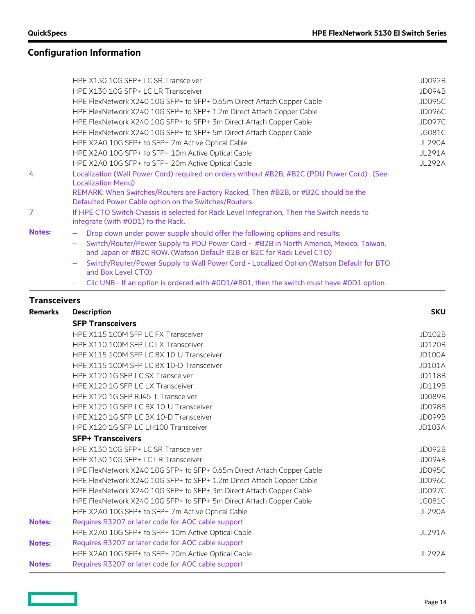# **Configuration Information**

|               | HPE X130 10G SFP+ LC SR Transceiver                                                                                                                            | JD092B        |
|---------------|----------------------------------------------------------------------------------------------------------------------------------------------------------------|---------------|
|               | HPE X130 10G SFP+ LC LR Transceiver                                                                                                                            | <b>JD094B</b> |
|               | HPE FlexNetwork X240 10G SFP+ to SFP+ 0.65m Direct Attach Copper Cable                                                                                         | JD095C        |
|               | HPE FlexNetwork X240 10G SFP+ to SFP+ 1.2m Direct Attach Copper Cable                                                                                          | <b>JD096C</b> |
|               | HPE FlexNetwork X240 10G SFP+ to SFP+ 3m Direct Attach Copper Cable                                                                                            | <b>JD097C</b> |
|               | HPE FlexNetwork X240 10G SFP+ to SFP+ 5m Direct Attach Copper Cable                                                                                            | <b>JG081C</b> |
|               | HPE X2A0 10G SFP+ to SFP+ 7m Active Optical Cable                                                                                                              | <b>JL290A</b> |
|               | HPE X2A0 10G SFP+ to SFP+ 10m Active Optical Cable                                                                                                             | <b>JL291A</b> |
|               | HPE X2A0 10G SFP+ to SFP+ 20m Active Optical Cable                                                                                                             | <b>JL292A</b> |
| 4             | Localization (Wall Power Cord) required on orders without #B2B, #B2C (PDU Power Cord). (See<br><b>Localization Menu)</b>                                       |               |
|               | REMARK: When Switches/Routers are Factory Racked, Then #B2B, or #B2C should be the<br>Defaulted Power Cable option on the Switches/Routers.                    |               |
| 7             | If HPE CTO Switch Chassis is selected for Rack Level Integration, Then the Switch needs to<br>integrate (with #0D1) to the Rack.                               |               |
| <b>Notes:</b> | Drop down under power supply should offer the following options and results:                                                                                   |               |
|               | Switch/Router/Power Supply to PDU Power Cord - #B2B in North America, Mexico, Taiwan,<br>and Japan or #B2C ROW. (Watson Default B2B or B2C for Rack Level CTO) |               |
|               | Switch/Router/Power Supply to Wall Power Cord - Localized Option (Watson Default for BTO<br>and Box Level CTO)                                                 |               |
|               | Clic UNB - If an option is ordered with #0D1/#B01, then the switch must have #0D1 option.                                                                      |               |

# **Transceivers**

| Remarks       | <b>Description</b>                                                     | <b>SKU</b>    |
|---------------|------------------------------------------------------------------------|---------------|
|               | <b>SFP Transceivers</b>                                                |               |
|               | HPE X115 100M SFP LC FX Transceiver                                    | JD102B        |
|               | HPE X110 100M SFP LC LX Transceiver                                    | <b>JD120B</b> |
|               | HPE X115 100M SFP LC BX 10-U Transceiver                               | <b>JD100A</b> |
|               | HPE X115 100M SFP LC BX 10-D Transceiver                               | <b>JD101A</b> |
|               | HPE X120 1G SFP LC SX Transceiver                                      | <b>JD118B</b> |
|               | HPE X120 1G SFP LC LX Transceiver                                      | JD119B        |
|               | HPE X120 1G SFP RJ45 T Transceiver                                     | JD089B        |
|               | HPE X120 1G SFP LC BX 10-U Transceiver                                 | <b>JD098B</b> |
|               | HPE X120 1G SFP LC BX 10-D Transceiver                                 | JD099B        |
|               | HPE X120 1G SFP LC LH100 Transceiver                                   | <b>JD103A</b> |
|               | <b>SFP+ Transceivers</b>                                               |               |
|               | HPE X130 10G SFP+ LC SR Transceiver                                    | <b>JD092B</b> |
|               | HPE X130 10G SFP+ LC LR Transceiver                                    | JD094B        |
|               | HPE FlexNetwork X240 10G SFP+ to SFP+ 0.65m Direct Attach Copper Cable | JD095C        |
|               | HPE FlexNetwork X240 10G SFP+ to SFP+ 1.2m Direct Attach Copper Cable  | JD096C        |
|               | HPE FlexNetwork X240 10G SFP+ to SFP+ 3m Direct Attach Copper Cable    | <b>JD097C</b> |
|               | HPE FlexNetwork X240 10G SFP+ to SFP+ 5m Direct Attach Copper Cable    | JG081C        |
|               | HPE X2A0 10G SFP+ to SFP+ 7m Active Optical Cable                      | <b>JL290A</b> |
| <b>Notes:</b> | Requires R3207 or later code for AOC cable support                     |               |
|               | HPE X2A0 10G SFP+ to SFP+ 10m Active Optical Cable                     | JL291A        |
| <b>Notes:</b> | Requires R3207 or later code for AOC cable support                     |               |
|               | HPE X2A0 10G SFP+ to SFP+ 20m Active Optical Cable                     | JL292A        |
| <b>Notes:</b> | Requires R3207 or later code for AOC cable support                     |               |
|               |                                                                        |               |

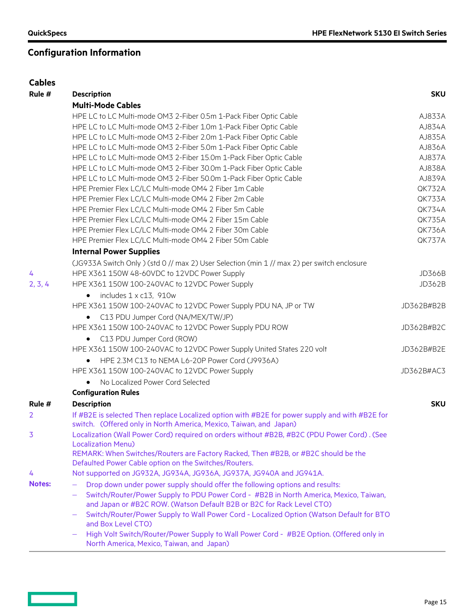# **Configuration Information**

| <b>Cables</b> |                                                                                                                                      |            |
|---------------|--------------------------------------------------------------------------------------------------------------------------------------|------------|
| Rule #        | <b>Description</b>                                                                                                                   | <b>SKU</b> |
|               | <b>Multi-Mode Cables</b>                                                                                                             |            |
|               | HPE LC to LC Multi-mode OM3 2-Fiber 0.5m 1-Pack Fiber Optic Cable                                                                    | AJ833A     |
|               | HPE LC to LC Multi-mode OM3 2-Fiber 1.0m 1-Pack Fiber Optic Cable                                                                    | AJ834A     |
|               | HPE LC to LC Multi-mode OM3 2-Fiber 2.0m 1-Pack Fiber Optic Cable                                                                    | AJ835A     |
|               | HPE LC to LC Multi-mode OM3 2-Fiber 5.0m 1-Pack Fiber Optic Cable                                                                    | AJ836A     |
|               | HPE LC to LC Multi-mode OM3 2-Fiber 15.0m 1-Pack Fiber Optic Cable                                                                   | AJ837A     |
|               | HPE LC to LC Multi-mode OM3 2-Fiber 30.0m 1-Pack Fiber Optic Cable                                                                   | AJ838A     |
|               | HPE LC to LC Multi-mode OM3 2-Fiber 50.0m 1-Pack Fiber Optic Cable                                                                   | AJ839A     |
|               | HPE Premier Flex LC/LC Multi-mode OM4 2 Fiber 1m Cable                                                                               | QK732A     |
|               | HPE Premier Flex LC/LC Multi-mode OM4 2 Fiber 2m Cable                                                                               | QK733A     |
|               | HPE Premier Flex LC/LC Multi-mode OM4 2 Fiber 5m Cable                                                                               | QK734A     |
|               | HPE Premier Flex LC/LC Multi-mode OM4 2 Fiber 15m Cable                                                                              | QK735A     |
|               | HPE Premier Flex LC/LC Multi-mode OM4 2 Fiber 30m Cable                                                                              | QK736A     |
|               | HPE Premier Flex LC/LC Multi-mode OM4 2 Fiber 50m Cable                                                                              | QK737A     |
|               | <b>Internal Power Supplies</b>                                                                                                       |            |
|               | (JG933A Switch Only ) (std 0 // max 2) User Selection (min 1 // max 2) per switch enclosure                                          |            |
| 4             | HPE X361 150W 48-60VDC to 12VDC Power Supply                                                                                         | JD366B     |
| 2, 3, 4       | HPE X361 150W 100-240VAC to 12VDC Power Supply                                                                                       | JD362B     |
|               | includes 1 x c13, 910w<br>$\bullet$                                                                                                  |            |
|               | HPE X361 150W 100-240VAC to 12VDC Power Supply PDU NA, JP or TW                                                                      | JD362B#B2B |
|               | • C13 PDU Jumper Cord (NA/MEX/TW/JP)                                                                                                 |            |
|               | HPE X361 150W 100-240VAC to 12VDC Power Supply PDU ROW                                                                               | JD362B#B2C |
|               | C13 PDU Jumper Cord (ROW)<br>$\bullet$                                                                                               |            |
|               | HPE X361 150W 100-240VAC to 12VDC Power Supply United States 220 volt                                                                | JD362B#B2E |
|               | HPE 2.3M C13 to NEMA L6-20P Power Cord (J9936A)<br>$\bullet$                                                                         |            |
|               | HPE X361 150W 100-240VAC to 12VDC Power Supply                                                                                       | JD362B#AC3 |
|               | No Localized Power Cord Selected                                                                                                     |            |
|               | <b>Configuration Rules</b>                                                                                                           |            |
| Rule #        | <b>Description</b>                                                                                                                   | <b>SKU</b> |
| 2             | If #B2E is selected Then replace Localized option with #B2E for power supply and with #B2E for                                       |            |
|               | switch. (Offered only in North America, Mexico, Taiwan, and Japan)                                                                   |            |
| 3             | Localization (Wall Power Cord) required on orders without #B2B, #B2C (PDU Power Cord). (See                                          |            |
|               | <b>Localization Menu)</b>                                                                                                            |            |
|               | REMARK: When Switches/Routers are Factory Racked, Then #B2B, or #B2C should be the                                                   |            |
|               | Defaulted Power Cable option on the Switches/Routers.                                                                                |            |
| 4             | Not supported on JG932A, JG934A, JG936A, JG937A, JG940A and JG941A.                                                                  |            |
| <b>Notes:</b> | Drop down under power supply should offer the following options and results:<br>$\qquad \qquad -$                                    |            |
|               | Switch/Router/Power Supply to PDU Power Cord - #B2B in North America, Mexico, Taiwan,                                                |            |
|               | and Japan or #B2C ROW. (Watson Default B2B or B2C for Rack Level CTO)                                                                |            |
|               | Switch/Router/Power Supply to Wall Power Cord - Localized Option (Watson Default for BTO                                             |            |
|               | and Box Level CTO)                                                                                                                   |            |
|               | High Volt Switch/Router/Power Supply to Wall Power Cord - #B2E Option. (Offered only in<br>North America, Mexico, Taiwan, and Japan) |            |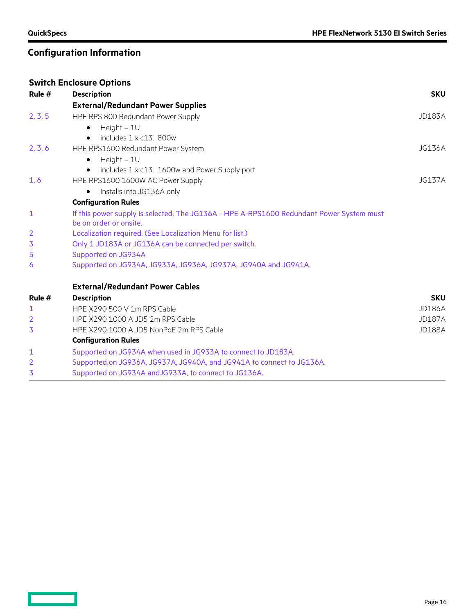### **Configuration Information**

### **Switch Enclosure Options Rule # Description SKU External/Redundant Power Supplies** 2, 3, 5 HPE RPS 800 Redundant Power Supply JD183A  $\bullet$  Height = 1U  $\bullet$  includes  $1 \times c13$ , 800w 2, 3, 6 HPE RPS1600 Redundant Power System JG136A  $\bullet$  Height = 1U • includes 1 x c13, 1600w and Power Supply port 1, 6 HPE RPS1600 1600W AC Power Supply JG137A • Installs into JG136A only **Configuration Rules** 1 If this power supply is selected, The JG136A - HPE A-RPS1600 Redundant Power System must be on order or onsite. 2 Localization required. (See Localization Menu for list.) 3 Only 1 JD183A or JG136A can be connected per switch. 5 Supported on JG934A 6 Supported on JG934A, JG933A, JG936A, JG937A, JG940A and JG941A. **External/Redundant Power Cables Rule # Description SKU** 1 HPE X290 500 V 1m RPS Cable JD186A 2 HPE X290 1000 A JD5 2m RPS Cable 30 A JO187A 3 HPE X290 1000 A JD5 NonPoE 2m RPS Cable JD188A **Configuration Rules** 1 Supported on JG934A when used in JG933A to connect to JD183A. 2 Supported on JG936A, JG937A, JG940A, and JG941A to connect to JG136A. 3 Supported on JG934A andJG933A, to connect to JG136A.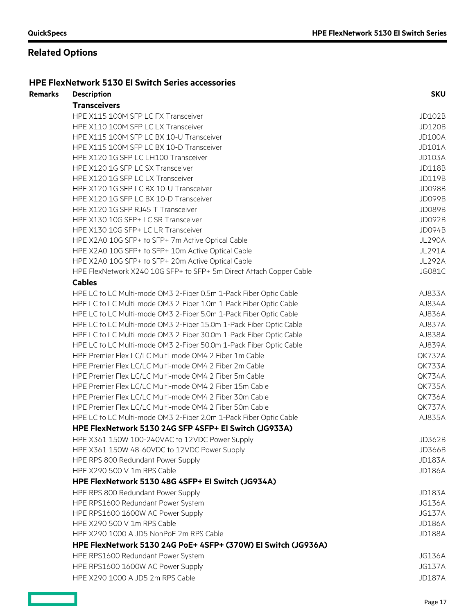### **Related Options**

#### **HPE FlexNetwork 5130 EI Switch Series accessories**

### **Remarks Description SKU Transceivers** HPE X115 100M SFP LC FX Transceiver JD102B HPE X110 100M SFP LC LX Transceiver **JD120B** HPE X115 100M SFP LC BX 10-U Transceiver JD100A And the United States of the United States of the UNIOOA HPE X115 100M SFP LC BX 10-D Transceiver JONES AND THE STATE STATE STATE STATE STATE STATE STATE STATE STATE S HPE X120 1G SFP LC LH100 Transceiver JD103A HPE X120 1G SFP LC SX Transceiver JD118B HPE X120 1G SFP LC LX Transceiver JD119B HPE X120 1G SFP LC BX 10-U Transceiver JD098B HPE X120 1G SFP LC BX 10-D Transceiver JD099B HPE X120 1G SFP RJ45 T Transceiver JD089B HPE X130 10G SFP+ LC SR Transceiver JD092B HPE X130 10G SFP+ LC LR Transceiver JD094B HPE X2A0 10G SFP+ to SFP+ 7m Active Optical Cable June 100 March 100 March 2004 JL290A HPE X2A0 10G SFP+ to SFP+ 10m Active Optical Cable Juncol Cable JL291A HPE X2A0 10G SFP+ to SFP+ 20m Active Optical Cable Junches And Junches States and Studies Junches States and Studies Junches States and Studies and Studies and Studies and Studies and Studies and Studies and Studies and St HPE FlexNetwork X240 10G SFP+ to SFP+ 5m Direct Attach Copper Cable  $JGO81C$ **Cables** HPE LC to LC Multi-mode OM3 2-Fiber 0.5m 1-Pack Fiber Optic Cable AJ833A HPE LC to LC Multi-mode OM3 2-Fiber 1.0m 1-Pack Fiber Optic Cable AJ834A HPE LC to LC Multi-mode OM3 2-Fiber 5.0m 1-Pack Fiber Optic Cable AJ836A HPE LC to LC Multi-mode OM3 2-Fiber 15.0m 1-Pack Fiber Optic Cable AGM AJ837A HPE LC to LC Multi-mode OM3 2-Fiber 30.0m 1-Pack Fiber Optic Cable AJ838A HPE LC to LC Multi-mode OM3 2-Fiber 50.0m 1-Pack Fiber Optic Cable AJ839A HPE Premier Flex LC/LC Multi-mode OM4 2 Fiber 1m Cable QK732A HPE Premier Flex LC/LC Multi-mode OM4 2 Fiber 2m Cable QK733A HPE Premier Flex LC/LC Multi-mode OM4 2 Fiber 5m Cable QK734A HPE Premier Flex LC/LC Multi-mode OM4 2 Fiber 15m Cable QK735A HPE Premier Flex LC/LC Multi-mode OM4 2 Fiber 30m Cable  $QK736A$ HPE Premier Flex LC/LC Multi-mode OM4 2 Fiber 50m Cable QK737A HPE LC to LC Multi-mode OM3 2-Fiber 2.0m 1-Pack Fiber Optic Cable AJ835A **HPE FlexNetwork 5130 24G SFP 4SFP+ EI Switch (JG933A)** HPE X361 150W 100-240VAC to 12VDC Power Supply JOS 2008 And The State of the UD362B HPE X361 150W 48-60VDC to 12VDC Power Supply JD366B HPE RPS 800 Redundant Power Supply JD183A HPE X290 500 V 1m RPS Cable 30 AM CHARGES AND THE VALUE OF THE VALUE OF THE VALUE OF THE VALUE OF THE VALUE OF THE VALUE OF THE VALUE OF THE VALUE OF THE VALUE OF THE VALUE OF THE VALUE OF THE VALUE OF THE VALUE OF THE VAL **HPE FlexNetwork 5130 48G 4SFP+ EI Switch (JG934A)** HPE RPS 800 Redundant Power Supply JD183A HPE RPS1600 Redundant Power System JG136A HPE RPS1600 1600W AC Power Supply JG137A HPE X290 500 V 1m RPS Cable 30 AM CHARGES AND THE VALUE OF THE VALUE OF THE VALUE OF THE VALUE OF THE VALUE OF THE VALUE OF THE VALUE OF THE VALUE OF THE VALUE OF THE VALUE OF THE VALUE OF THE VALUE OF THE VALUE OF THE VAL HPE X290 1000 A JD5 NonPoE 2m RPS Cable JONES AND A SERIES AND THE STATE AND THE STATE AND THE JUNEAU ASSAULT A **HPE FlexNetwork 5130 24G PoE+ 4SFP+ (370W) EI Switch (JG936A)** HPE RPS1600 Redundant Power System JG136A HPE RPS1600 1600W AC Power Supply JG137A HPE X290 1000 A JD5 2m RPS Cable JD187A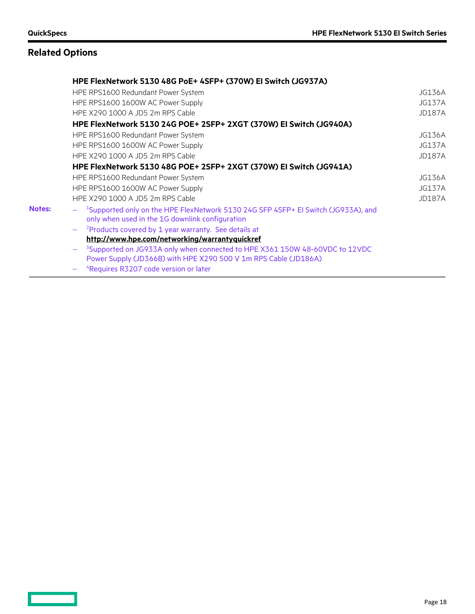$\qquad \qquad \Box$ 

# **Related Options**

|               | HPE FlexNetwork 5130 48G PoE+ 4SFP+ (370W) EI Switch (JG937A)                                                                                |               |  |  |
|---------------|----------------------------------------------------------------------------------------------------------------------------------------------|---------------|--|--|
|               | HPE RPS1600 Redundant Power System                                                                                                           | JG136A        |  |  |
|               | HPE RPS1600 1600W AC Power Supply                                                                                                            | <b>JG137A</b> |  |  |
|               | HPE X290 1000 A JD5 2m RPS Cable                                                                                                             | <b>JD187A</b> |  |  |
|               | HPE FlexNetwork 5130 24G POE+ 2SFP+ 2XGT (370W) EI Switch (JG940A)                                                                           |               |  |  |
|               | HPE RPS1600 Redundant Power System                                                                                                           | JG136A        |  |  |
|               | HPE RPS1600 1600W AC Power Supply                                                                                                            | <b>JG137A</b> |  |  |
|               | HPE X290 1000 A JD5 2m RPS Cable                                                                                                             | <b>JD187A</b> |  |  |
|               | HPE FlexNetwork 5130 48G POE+ 2SFP+ 2XGT (370W) EI Switch (JG941A)                                                                           |               |  |  |
|               | HPE RPS1600 Redundant Power System                                                                                                           | JG136A        |  |  |
|               | HPE RPS1600 1600W AC Power Supply                                                                                                            |               |  |  |
|               | HPE X290 1000 A JD5 2m RPS Cable                                                                                                             | <b>JD187A</b> |  |  |
| <b>Notes:</b> | $ ^{-1}$ Supported only on the HPE FlexNetwork 5130 24G SFP 4SFP+ EI Switch (JG933A), and<br>only when used in the 1G downlink configuration |               |  |  |
|               | <sup>2</sup> Products covered by 1 year warranty. See details at                                                                             |               |  |  |
|               | http://www.hpe.com/networking/warrantyquickref                                                                                               |               |  |  |
|               | <sup>3</sup> Supported on JG933A only when connected to HPE X361 150W 48-60VDC to 12VDC                                                      |               |  |  |
|               | Power Supply (JD366B) with HPE X290 500 V 1m RPS Cable (JD186A)                                                                              |               |  |  |
|               | <sup>4</sup> Requires R3207 code version or later                                                                                            |               |  |  |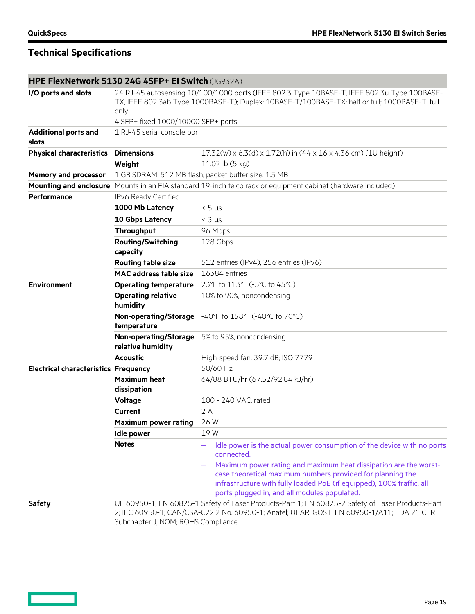<u>and the set</u>

# **Technical Specifications**

### **HPE FlexNetwork 5130 24G 4SFP+ EI Switch** (JG932A)

| I/O ports and slots                         | 24 RJ-45 autosensing 10/100/1000 ports (IEEE 802.3 Type 10BASE-T, IEEE 802.3u Type 100BASE-<br>TX, IEEE 802.3ab Type 1000BASE-T); Duplex: 10BASE-T/100BASE-TX: half or full; 1000BASE-T: full<br>only<br>4 SFP+ fixed 1000/10000 SFP+ ports |                                                                                                                                                                                                                                                                                                 |  |
|---------------------------------------------|---------------------------------------------------------------------------------------------------------------------------------------------------------------------------------------------------------------------------------------------|-------------------------------------------------------------------------------------------------------------------------------------------------------------------------------------------------------------------------------------------------------------------------------------------------|--|
|                                             |                                                                                                                                                                                                                                             |                                                                                                                                                                                                                                                                                                 |  |
| <b>Additional ports and</b><br>slots        | 1 RJ-45 serial console port                                                                                                                                                                                                                 |                                                                                                                                                                                                                                                                                                 |  |
| <b>Physical characteristics</b>             | <b>Dimensions</b>                                                                                                                                                                                                                           | $17.32(w)$ x 6.3(d) x 1.72(h) in (44 x 16 x 4.36 cm) (1U height)                                                                                                                                                                                                                                |  |
|                                             | Weight                                                                                                                                                                                                                                      | 11.02 lb (5 kg)                                                                                                                                                                                                                                                                                 |  |
| <b>Memory and processor</b>                 | 1 GB SDRAM, 512 MB flash; packet buffer size: 1.5 MB                                                                                                                                                                                        |                                                                                                                                                                                                                                                                                                 |  |
| <b>Mounting and enclosure</b>               |                                                                                                                                                                                                                                             | Mounts in an EIA standard 19-inch telco rack or equipment cabinet (hardware included)                                                                                                                                                                                                           |  |
| <b>Performance</b>                          | IPv6 Ready Certified                                                                                                                                                                                                                        |                                                                                                                                                                                                                                                                                                 |  |
|                                             | 1000 Mb Latency                                                                                                                                                                                                                             | $< 5 \mu s$                                                                                                                                                                                                                                                                                     |  |
|                                             | 10 Gbps Latency                                                                                                                                                                                                                             | $<$ 3 $\mu s$                                                                                                                                                                                                                                                                                   |  |
|                                             | <b>Throughput</b>                                                                                                                                                                                                                           | 96 Mpps                                                                                                                                                                                                                                                                                         |  |
|                                             | <b>Routing/Switching</b><br>capacity                                                                                                                                                                                                        | 128 Gbps                                                                                                                                                                                                                                                                                        |  |
|                                             | <b>Routing table size</b>                                                                                                                                                                                                                   | 512 entries (IPv4), 256 entries (IPv6)                                                                                                                                                                                                                                                          |  |
|                                             | <b>MAC</b> address table size                                                                                                                                                                                                               | 16384 entries                                                                                                                                                                                                                                                                                   |  |
| <b>Environment</b>                          | <b>Operating temperature</b>                                                                                                                                                                                                                | 23°F to 113°F (-5°C to 45°C)                                                                                                                                                                                                                                                                    |  |
|                                             | <b>Operating relative</b><br>humidity                                                                                                                                                                                                       | 10% to 90%, noncondensing                                                                                                                                                                                                                                                                       |  |
|                                             | Non-operating/Storage<br>temperature                                                                                                                                                                                                        | -40°F to 158°F (-40°C to 70°C)                                                                                                                                                                                                                                                                  |  |
|                                             | Non-operating/Storage<br>relative humidity                                                                                                                                                                                                  | 5% to 95%, noncondensing                                                                                                                                                                                                                                                                        |  |
|                                             | <b>Acoustic</b>                                                                                                                                                                                                                             | High-speed fan: 39.7 dB; ISO 7779                                                                                                                                                                                                                                                               |  |
| <b>Electrical characteristics Frequency</b> |                                                                                                                                                                                                                                             | 50/60 Hz                                                                                                                                                                                                                                                                                        |  |
|                                             | <b>Maximum heat</b><br>dissipation                                                                                                                                                                                                          | 64/88 BTU/hr (67.52/92.84 kJ/hr)                                                                                                                                                                                                                                                                |  |
|                                             | <b>Voltage</b>                                                                                                                                                                                                                              | 100 - 240 VAC, rated                                                                                                                                                                                                                                                                            |  |
|                                             | <b>Current</b>                                                                                                                                                                                                                              | 2A                                                                                                                                                                                                                                                                                              |  |
|                                             | <b>Maximum power rating</b>                                                                                                                                                                                                                 | 26W                                                                                                                                                                                                                                                                                             |  |
|                                             | <b>Idle power</b>                                                                                                                                                                                                                           | 19 W                                                                                                                                                                                                                                                                                            |  |
|                                             | <b>Notes</b>                                                                                                                                                                                                                                | Idle power is the actual power consumption of the device with no ports<br>connected.<br>Maximum power rating and maximum heat dissipation are the worst-<br>case theoretical maximum numbers provided for planning the<br>infrastructure with fully loaded PoE (if equipped), 100% traffic, all |  |
|                                             |                                                                                                                                                                                                                                             | ports plugged in, and all modules populated.                                                                                                                                                                                                                                                    |  |
| <b>Safety</b>                               | UL 60950-1; EN 60825-1 Safety of Laser Products-Part 1; EN 60825-2 Safety of Laser Products-Part<br>2; IEC 60950-1; CAN/CSA-C22.2 No. 60950-1; Anatel; ULAR; GOST; EN 60950-1/A11; FDA 21 CFR<br>Subchapter J; NOM; ROHS Compliance         |                                                                                                                                                                                                                                                                                                 |  |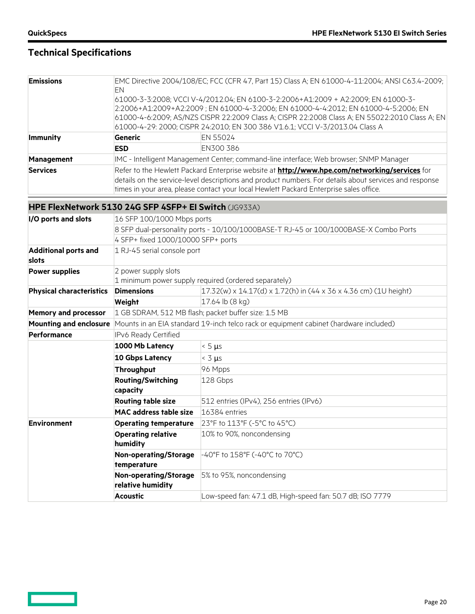<u>and the set</u>

# **Technical Specifications**

| <b>Emissions</b> | EMC Directive 2004/108/EC; FCC (CFR 47, Part 15) Class A; EN 61000-4-11:2004; ANSI C63.4-2009;<br>EN<br>61000-3-3:2008; VCCI V-4/2012.04; EN 6100-3-2:2006+A1:2009 + A2:2009; EN 61000-3-<br>2:2006+A1:2009+A2:2009; EN 61000-4-3:2006; EN 61000-4-4:2012; EN 61000-4-5:2006; EN<br>61000-4-6:2009; AS/NZS CISPR 22:2009 Class A; CISPR 22:2008 Class A; EN 55022:2010 Class A; EN<br>61000-4-29: 2000; CISPR 24:2010; EN 300 386 V1.6.1; VCCI V-3/2013.04 Class A |           |
|------------------|--------------------------------------------------------------------------------------------------------------------------------------------------------------------------------------------------------------------------------------------------------------------------------------------------------------------------------------------------------------------------------------------------------------------------------------------------------------------|-----------|
| <b>Immunity</b>  | Generic                                                                                                                                                                                                                                                                                                                                                                                                                                                            | EN 55024  |
|                  | <b>ESD</b>                                                                                                                                                                                                                                                                                                                                                                                                                                                         | EN300 386 |
| Management       | IMC - Intelligent Management Center; command-line interface; Web browser; SNMP Manager                                                                                                                                                                                                                                                                                                                                                                             |           |
| <b>Services</b>  | Refer to the Hewlett Packard Enterprise website at <b>http://www.hpe.com/networking/services</b> for<br>details on the service-level descriptions and product numbers. For details about services and response<br>times in your area, please contact your local Hewlett Packard Enterprise sales office.                                                                                                                                                           |           |

### **HPE FlexNetwork 5130 24G SFP 4SFP+ EI Switch** (JG933A)

| I/O ports and slots                  | 16 SFP 100/1000 Mbps ports                                                           |                                                                                       |  |
|--------------------------------------|--------------------------------------------------------------------------------------|---------------------------------------------------------------------------------------|--|
|                                      | 8 SFP dual-personality ports - 10/100/1000BASE-T RJ-45 or 100/1000BASE-X Combo Ports |                                                                                       |  |
|                                      | 4 SFP+ fixed 1000/10000 SFP+ ports                                                   |                                                                                       |  |
| <b>Additional ports and</b><br>slots | 1 RJ-45 serial console port                                                          |                                                                                       |  |
| <b>Power supplies</b>                | 2 power supply slots                                                                 |                                                                                       |  |
|                                      |                                                                                      | 1 minimum power supply required (ordered separately)                                  |  |
| <b>Physical characteristics</b>      | <b>Dimensions</b>                                                                    | $17.32(w)$ x 14.17(d) x 1.72(h) in (44 x 36 x 4.36 cm) (1U height)                    |  |
|                                      | Weight                                                                               | 17.64 lb (8 kg)                                                                       |  |
| <b>Memory and processor</b>          |                                                                                      | 1 GB SDRAM, 512 MB flash; packet buffer size: 1.5 MB                                  |  |
| <b>Mounting and enclosure</b>        |                                                                                      | Mounts in an EIA standard 19-inch telco rack or equipment cabinet (hardware included) |  |
| Performance                          | IPv6 Ready Certified                                                                 |                                                                                       |  |
|                                      | 1000 Mb Latency                                                                      | $< 5 \mu s$                                                                           |  |
|                                      | <b>10 Gbps Latency</b>                                                               | $<$ 3 $\mu$ s                                                                         |  |
|                                      | Throughput                                                                           | 96 Mpps                                                                               |  |
|                                      | <b>Routing/Switching</b><br>capacity                                                 | 128 Gbps                                                                              |  |
|                                      | <b>Routing table size</b>                                                            | 512 entries (IPv4), 256 entries (IPv6)                                                |  |
|                                      | <b>MAC address table size</b>                                                        | 16384 entries                                                                         |  |
| <b>Environment</b>                   | <b>Operating temperature</b>                                                         | 23°F to 113°F (-5°C to 45°C)                                                          |  |
|                                      | <b>Operating relative</b><br>humidity                                                | 10% to 90%, noncondensing                                                             |  |
|                                      | <b>Non-operating/Storage</b><br>temperature                                          | -40°F to 158°F (-40°C to 70°C)                                                        |  |
|                                      | <b>Non-operating/Storage</b><br>relative humidity                                    | 5% to 95%, noncondensing                                                              |  |
|                                      | <b>Acoustic</b>                                                                      | Low-speed fan: 47.1 dB, High-speed fan: 50.7 dB; ISO 7779                             |  |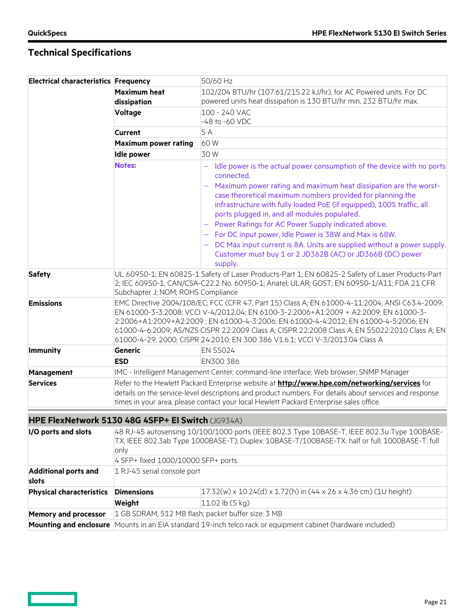$\qquad \qquad =$ 

| <b>Electrical characteristics Frequency</b> |                                                                                                                                                                                                                                                                                                                                                                                                                                                                 | 50/60 Hz                                                                                                                                                                                                                                                  |
|---------------------------------------------|-----------------------------------------------------------------------------------------------------------------------------------------------------------------------------------------------------------------------------------------------------------------------------------------------------------------------------------------------------------------------------------------------------------------------------------------------------------------|-----------------------------------------------------------------------------------------------------------------------------------------------------------------------------------------------------------------------------------------------------------|
|                                             | <b>Maximum heat</b>                                                                                                                                                                                                                                                                                                                                                                                                                                             | 102/204 BTU/hr (107.61/215.22 kJ/hr), for AC Powered units. For DC                                                                                                                                                                                        |
|                                             | dissipation                                                                                                                                                                                                                                                                                                                                                                                                                                                     | powered units heat dissipation is 130 BTU/hr min, 232 BTU/hr max.                                                                                                                                                                                         |
|                                             | Voltage                                                                                                                                                                                                                                                                                                                                                                                                                                                         | 100 - 240 VAC                                                                                                                                                                                                                                             |
|                                             |                                                                                                                                                                                                                                                                                                                                                                                                                                                                 | -48 to -60 VDC                                                                                                                                                                                                                                            |
|                                             | <b>Current</b>                                                                                                                                                                                                                                                                                                                                                                                                                                                  | 5 A                                                                                                                                                                                                                                                       |
|                                             | <b>Maximum power rating</b>                                                                                                                                                                                                                                                                                                                                                                                                                                     | 60W                                                                                                                                                                                                                                                       |
|                                             | <b>Idle power</b>                                                                                                                                                                                                                                                                                                                                                                                                                                               | 30W                                                                                                                                                                                                                                                       |
|                                             | <b>Notes:</b>                                                                                                                                                                                                                                                                                                                                                                                                                                                   | Idle power is the actual power consumption of the device with no ports<br>$\overline{\phantom{m}}$<br>connected.                                                                                                                                          |
|                                             |                                                                                                                                                                                                                                                                                                                                                                                                                                                                 | - Maximum power rating and maximum heat dissipation are the worst-<br>case theoretical maximum numbers provided for planning the<br>infrastructure with fully loaded PoE (if equipped), 100% traffic, all<br>ports plugged in, and all modules populated. |
|                                             |                                                                                                                                                                                                                                                                                                                                                                                                                                                                 | - Power Ratings for AC Power Supply indicated above.                                                                                                                                                                                                      |
|                                             |                                                                                                                                                                                                                                                                                                                                                                                                                                                                 | - For DC input power, Idle Power is 38W and Max is 68W.                                                                                                                                                                                                   |
|                                             |                                                                                                                                                                                                                                                                                                                                                                                                                                                                 | - DC Max input current is 8A. Units are supplied without a power supply.<br>Customer must buy 1 or 2 JD362B (AC) or JD366B (DC) power                                                                                                                     |
|                                             |                                                                                                                                                                                                                                                                                                                                                                                                                                                                 | supply.                                                                                                                                                                                                                                                   |
| <b>Safety</b>                               | UL 60950-1; EN 60825-1 Safety of Laser Products-Part 1; EN 60825-2 Safety of Laser Products-Part<br>2; IEC 60950-1; CAN/CSA-C22.2 No. 60950-1; Anatel; ULAR; GOST; EN 60950-1/A11; FDA 21 CFR<br>Subchapter J; NOM; ROHS Compliance                                                                                                                                                                                                                             |                                                                                                                                                                                                                                                           |
| <b>Emissions</b>                            | EMC Directive 2004/108/EC; FCC (CFR 47, Part 15) Class A; EN 61000-4-11:2004; ANSI C63.4-2009;<br>EN 61000-3-3:2008; VCCI V-4/2012.04; EN 6100-3-2:2006+A1:2009 + A2:2009; EN 61000-3-<br>2:2006+A1:2009+A2:2009; EN 61000-4-3:2006; EN 61000-4-4:2012; EN 61000-4-5:2006; EN<br>61000-4-6:2009; AS/NZS CISPR 22:2009 Class A; CISPR 22:2008 Class A; EN 55022:2010 Class A; EN<br>61000-4-29: 2000; CISPR 24:2010; EN 300 386 V1.6.1; VCCI V-3/2013.04 Class A |                                                                                                                                                                                                                                                           |
| <b>Immunity</b>                             | <b>Generic</b>                                                                                                                                                                                                                                                                                                                                                                                                                                                  | EN 55024                                                                                                                                                                                                                                                  |
|                                             | <b>ESD</b>                                                                                                                                                                                                                                                                                                                                                                                                                                                      | EN300 386                                                                                                                                                                                                                                                 |
| Management                                  |                                                                                                                                                                                                                                                                                                                                                                                                                                                                 | IMC - Intelligent Management Center; command-line interface; Web browser; SNMP Manager                                                                                                                                                                    |
| <b>Services</b>                             | Refer to the Hewlett Packard Enterprise website at <b>http://www.hpe.com/networking/services</b> for<br>details on the service-level descriptions and product numbers. For details about services and response                                                                                                                                                                                                                                                  |                                                                                                                                                                                                                                                           |
|                                             |                                                                                                                                                                                                                                                                                                                                                                                                                                                                 | times in your area, please contact your local Hewlett Packard Enterprise sales office.                                                                                                                                                                    |
|                                             | HPE FlexNetwork 5130 48G 4SFP+ El Switch (JG934A)                                                                                                                                                                                                                                                                                                                                                                                                               |                                                                                                                                                                                                                                                           |
| I/O ports and slots                         | 48 RJ-45 autosensing 10/100/1000 ports (IEEE 802.3 Type 10BASE-T, IEEE 802.3u Type 100BASE-<br>TX, IEEE 802.3ab Type 1000BASE-T); Duplex: 10BASE-T/100BASE-TX: half or full; 1000BASE-T: full<br>only<br>4 SFP+ fixed 1000/10000 SFP+ ports                                                                                                                                                                                                                     |                                                                                                                                                                                                                                                           |
| <b>Additional ports and</b>                 | 1 RJ-45 serial console port                                                                                                                                                                                                                                                                                                                                                                                                                                     |                                                                                                                                                                                                                                                           |
| slots                                       |                                                                                                                                                                                                                                                                                                                                                                                                                                                                 |                                                                                                                                                                                                                                                           |
| <b>Physical characteristics</b>             | <b>Dimensions</b>                                                                                                                                                                                                                                                                                                                                                                                                                                               | 17.32(w) x 10.24(d) x 1.72(h) in (44 x 26 x 4.36 cm) (1U height)                                                                                                                                                                                          |
|                                             | Weight                                                                                                                                                                                                                                                                                                                                                                                                                                                          | 11.02 lb (5 kg)                                                                                                                                                                                                                                           |
| <b>Memory and processor</b>                 | 1 GB SDRAM, 512 MB flash; packet buffer size: 3 MB                                                                                                                                                                                                                                                                                                                                                                                                              |                                                                                                                                                                                                                                                           |
| <b>Mounting and enclosure</b>               | Mounts in an EIA standard 19-inch telco rack or equipment cabinet (hardware included)                                                                                                                                                                                                                                                                                                                                                                           |                                                                                                                                                                                                                                                           |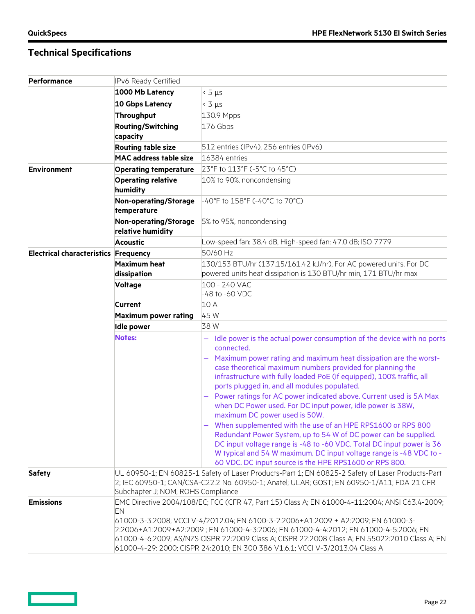| <b>Performance</b>                          | IPv6 Ready Certified                                                                                                                                                                                                                                                                                                                                                                                                                                                |                                                                                                                                                                                                                                                                                                                                          |
|---------------------------------------------|---------------------------------------------------------------------------------------------------------------------------------------------------------------------------------------------------------------------------------------------------------------------------------------------------------------------------------------------------------------------------------------------------------------------------------------------------------------------|------------------------------------------------------------------------------------------------------------------------------------------------------------------------------------------------------------------------------------------------------------------------------------------------------------------------------------------|
|                                             | 1000 Mb Latency                                                                                                                                                                                                                                                                                                                                                                                                                                                     | $< 5 \mu s$                                                                                                                                                                                                                                                                                                                              |
|                                             | <b>10 Gbps Latency</b>                                                                                                                                                                                                                                                                                                                                                                                                                                              | $<$ 3 $\mu$ s                                                                                                                                                                                                                                                                                                                            |
|                                             | <b>Throughput</b>                                                                                                                                                                                                                                                                                                                                                                                                                                                   | 130.9 Mpps                                                                                                                                                                                                                                                                                                                               |
|                                             | <b>Routing/Switching</b>                                                                                                                                                                                                                                                                                                                                                                                                                                            | 176 Gbps                                                                                                                                                                                                                                                                                                                                 |
|                                             | capacity                                                                                                                                                                                                                                                                                                                                                                                                                                                            |                                                                                                                                                                                                                                                                                                                                          |
|                                             | <b>Routing table size</b>                                                                                                                                                                                                                                                                                                                                                                                                                                           | 512 entries (IPv4), 256 entries (IPv6)                                                                                                                                                                                                                                                                                                   |
|                                             | <b>MAC address table size</b>                                                                                                                                                                                                                                                                                                                                                                                                                                       | 16384 entries                                                                                                                                                                                                                                                                                                                            |
| <b>Environment</b>                          | <b>Operating temperature</b>                                                                                                                                                                                                                                                                                                                                                                                                                                        | 23°F to 113°F (-5°C to 45°C)                                                                                                                                                                                                                                                                                                             |
|                                             | <b>Operating relative</b><br>humidity                                                                                                                                                                                                                                                                                                                                                                                                                               | 10% to 90%, noncondensing                                                                                                                                                                                                                                                                                                                |
|                                             | <b>Non-operating/Storage</b><br>temperature                                                                                                                                                                                                                                                                                                                                                                                                                         | -40°F to 158°F (-40°C to 70°C)                                                                                                                                                                                                                                                                                                           |
|                                             | Non-operating/Storage<br>relative humidity                                                                                                                                                                                                                                                                                                                                                                                                                          | 5% to 95%, noncondensing                                                                                                                                                                                                                                                                                                                 |
|                                             | <b>Acoustic</b>                                                                                                                                                                                                                                                                                                                                                                                                                                                     | Low-speed fan: 38.4 dB, High-speed fan: 47.0 dB; ISO 7779                                                                                                                                                                                                                                                                                |
| <b>Electrical characteristics Frequency</b> |                                                                                                                                                                                                                                                                                                                                                                                                                                                                     | 50/60 Hz                                                                                                                                                                                                                                                                                                                                 |
|                                             | <b>Maximum heat</b><br>dissipation                                                                                                                                                                                                                                                                                                                                                                                                                                  | 130/153 BTU/hr (137.15/161.42 kJ/hr), For AC powered units. For DC<br>powered units heat dissipation is 130 BTU/hr min, 171 BTU/hr max                                                                                                                                                                                                   |
|                                             | <b>Voltage</b>                                                                                                                                                                                                                                                                                                                                                                                                                                                      | 100 - 240 VAC<br>-48 to -60 VDC                                                                                                                                                                                                                                                                                                          |
|                                             | <b>Current</b>                                                                                                                                                                                                                                                                                                                                                                                                                                                      | 10 A                                                                                                                                                                                                                                                                                                                                     |
|                                             | <b>Maximum power rating</b>                                                                                                                                                                                                                                                                                                                                                                                                                                         | 45 W                                                                                                                                                                                                                                                                                                                                     |
|                                             | <b>Idle power</b>                                                                                                                                                                                                                                                                                                                                                                                                                                                   | 38W                                                                                                                                                                                                                                                                                                                                      |
|                                             | <b>Notes:</b>                                                                                                                                                                                                                                                                                                                                                                                                                                                       | $-$ Idle power is the actual power consumption of the device with no ports<br>connected.                                                                                                                                                                                                                                                 |
|                                             |                                                                                                                                                                                                                                                                                                                                                                                                                                                                     | - Maximum power rating and maximum heat dissipation are the worst-<br>case theoretical maximum numbers provided for planning the<br>infrastructure with fully loaded PoE (if equipped), 100% traffic, all<br>ports plugged in, and all modules populated.                                                                                |
|                                             |                                                                                                                                                                                                                                                                                                                                                                                                                                                                     | - Power ratings for AC power indicated above. Current used is 5A Max<br>when DC Power used. For DC input power, idle power is 38W,<br>maximum DC power used is 50W.                                                                                                                                                                      |
|                                             |                                                                                                                                                                                                                                                                                                                                                                                                                                                                     | - When supplemented with the use of an HPE RPS1600 or RPS 800<br>Redundant Power System, up to 54 W of DC power can be supplied.<br>DC input voltage range is -48 to -60 VDC. Total DC input power is 36<br>W typical and 54 W maximum. DC input voltage range is -48 VDC to -<br>60 VDC. DC input source is the HPE RPS1600 or RPS 800. |
| <b>Safety</b>                               | UL 60950-1; EN 60825-1 Safety of Laser Products-Part 1; EN 60825-2 Safety of Laser Products-Part<br>2; IEC 60950-1; CAN/CSA-C22.2 No. 60950-1; Anatel; ULAR; GOST; EN 60950-1/A11; FDA 21 CFR<br>Subchapter J; NOM; ROHS Compliance                                                                                                                                                                                                                                 |                                                                                                                                                                                                                                                                                                                                          |
| <b>Emissions</b>                            | EMC Directive 2004/108/EC; FCC (CFR 47, Part 15) Class A; EN 61000-4-11:2004; ANSI C63.4-2009;<br>EN<br>61000-3-3:2008; VCCI V-4/2012.04; EN 6100-3-2:2006+A1:2009 + A2:2009; EN 61000-3-<br>2:2006+A1:2009+A2:2009 ; EN 61000-4-3:2006; EN 61000-4-4:2012; EN 61000-4-5:2006; EN<br>61000-4-6:2009; AS/NZS CISPR 22:2009 Class A; CISPR 22:2008 Class A; EN 55022:2010 Class A; EN<br>61000-4-29: 2000; CISPR 24:2010; EN 300 386 V1.6.1; VCCI V-3/2013.04 Class A |                                                                                                                                                                                                                                                                                                                                          |

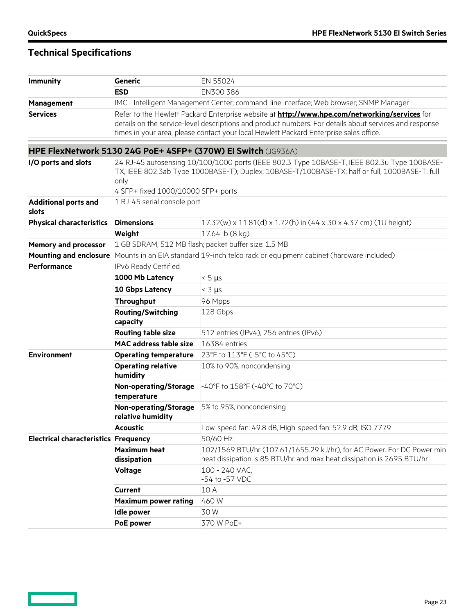$\qquad \qquad \Box$ 

| <b>Immunity</b>                             | <b>Generic</b>                                                                                                                                                                                                                                                                                           | EN 55024                                                                               |  |
|---------------------------------------------|----------------------------------------------------------------------------------------------------------------------------------------------------------------------------------------------------------------------------------------------------------------------------------------------------------|----------------------------------------------------------------------------------------|--|
|                                             | <b>ESD</b>                                                                                                                                                                                                                                                                                               | EN300 386                                                                              |  |
| <b>Management</b>                           |                                                                                                                                                                                                                                                                                                          | IMC - Intelligent Management Center; command-line interface; Web browser; SNMP Manager |  |
| <b>Services</b>                             | Refer to the Hewlett Packard Enterprise website at <b>http://www.hpe.com/networking/services</b> for<br>details on the service-level descriptions and product numbers. For details about services and response<br>times in your area, please contact your local Hewlett Packard Enterprise sales office. |                                                                                        |  |
|                                             |                                                                                                                                                                                                                                                                                                          | HPE FlexNetwork 5130 24G PoE+ 4SFP+ (370W) El Switch (JG936A)                          |  |
| I/O ports and slots                         | 24 RJ-45 autosensing 10/100/1000 ports (IEEE 802.3 Type 10BASE-T, IEEE 802.3u Type 100BASE-<br>TX, IEEE 802.3ab Type 1000BASE-T); Duplex: 10BASE-T/100BASE-TX: half or full; 1000BASE-T: full<br>only<br>4 SFP+ fixed 1000/10000 SFP+ ports                                                              |                                                                                        |  |
| <b>Additional ports and</b><br>slots        | 1 RJ-45 serial console port                                                                                                                                                                                                                                                                              |                                                                                        |  |
| <b>Physical characteristics</b>             | <b>Dimensions</b>                                                                                                                                                                                                                                                                                        | $17.32(w)$ x 11.81(d) x 1.72(h) in (44 x 30 x 4.37 cm) (1U height)                     |  |
|                                             | Weight                                                                                                                                                                                                                                                                                                   | 17.64 lb (8 kg)                                                                        |  |
| <b>Memory and processor</b>                 |                                                                                                                                                                                                                                                                                                          | 1 GB SDRAM, 512 MB flash; packet buffer size: 1.5 MB                                   |  |
| <b>Mounting and enclosure</b>               |                                                                                                                                                                                                                                                                                                          | Mounts in an EIA standard 19-inch telco rack or equipment cabinet (hardware included)  |  |
| Performance                                 | IPv6 Ready Certified                                                                                                                                                                                                                                                                                     |                                                                                        |  |
|                                             | 1000 Mb Latency                                                                                                                                                                                                                                                                                          | $< 5 \mu s$                                                                            |  |
|                                             | <b>10 Gbps Latency</b>                                                                                                                                                                                                                                                                                   | $<$ 3 $\mu$ s                                                                          |  |
|                                             | <b>Throughput</b>                                                                                                                                                                                                                                                                                        | 96 Mpps                                                                                |  |
|                                             | <b>Routing/Switching</b><br>capacity                                                                                                                                                                                                                                                                     | 128 Gbps                                                                               |  |
|                                             | <b>Routing table size</b>                                                                                                                                                                                                                                                                                | 512 entries (IPv4), 256 entries (IPv6)                                                 |  |
|                                             | <b>MAC address table size</b>                                                                                                                                                                                                                                                                            | 16384 entries                                                                          |  |
| <b>Environment</b>                          | <b>Operating temperature</b>                                                                                                                                                                                                                                                                             | 23°F to 113°F (-5°C to 45°C)                                                           |  |
|                                             | <b>Operating relative</b><br>humidity                                                                                                                                                                                                                                                                    | 10% to 90%, noncondensing                                                              |  |
|                                             | Non-operating/Storage<br>temperature                                                                                                                                                                                                                                                                     | -40°F to 158°F (-40°C to 70°C)                                                         |  |
|                                             | Non-operating/Storage<br>relative humidity                                                                                                                                                                                                                                                               | 5% to 95%, noncondensing                                                               |  |
|                                             | <b>Acoustic</b>                                                                                                                                                                                                                                                                                          | Low-speed fan: 49.8 dB, High-speed fan: 52.9 dB; ISO 7779                              |  |
| <b>Electrical characteristics Frequency</b> |                                                                                                                                                                                                                                                                                                          | 50/60 Hz                                                                               |  |
|                                             | <b>Maximum heat</b>                                                                                                                                                                                                                                                                                      | 102/1569 BTU/hr (107.61/1655.29 kJ/hr), for AC Power. For DC Power min                 |  |
|                                             | dissipation                                                                                                                                                                                                                                                                                              | heat dissipation is 85 BTU/hr and max heat dissipation is 2695 BTU/hr                  |  |
|                                             | <b>Voltage</b>                                                                                                                                                                                                                                                                                           | 100 - 240 VAC,<br>-54 to -57 VDC                                                       |  |
|                                             | <b>Current</b>                                                                                                                                                                                                                                                                                           | 10 A                                                                                   |  |
|                                             | <b>Maximum power rating</b>                                                                                                                                                                                                                                                                              | 460W                                                                                   |  |
|                                             | <b>Idle power</b>                                                                                                                                                                                                                                                                                        | 30W                                                                                    |  |
|                                             | <b>PoE power</b>                                                                                                                                                                                                                                                                                         | 370 W PoE+                                                                             |  |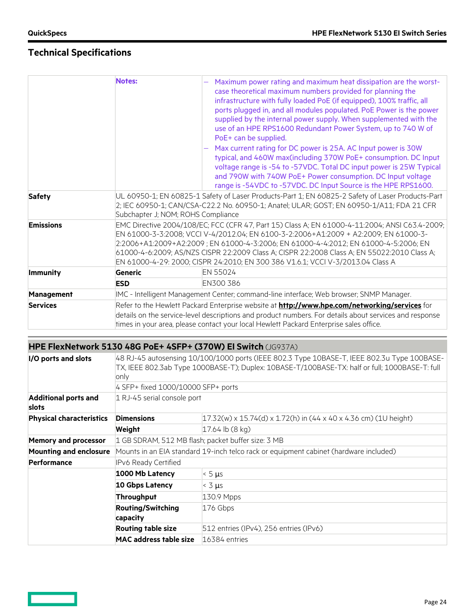**Contract** 

|                   | <b>Notes:</b>                      | Maximum power rating and maximum heat dissipation are the worst-<br>case theoretical maximum numbers provided for planning the<br>infrastructure with fully loaded PoE (if equipped), 100% traffic, all<br>ports plugged in, and all modules populated. PoE Power is the power<br>supplied by the internal power supply. When supplemented with the<br>use of an HPE RPS1600 Redundant Power System, up to 740 W of<br>PoE+ can be supplied.<br>Max current rating for DC power is 25A. AC Input power is 30W<br>typical, and 460W max(including 370W PoE+ consumption. DC Input<br>voltage range is -54 to -57VDC. Total DC input power is 25W Typical<br>and 790W with 740W PoE+ Power consumption. DC Input voltage<br>range is -54VDC to -57VDC. DC Input Source is the HPE RPS1600. |
|-------------------|------------------------------------|------------------------------------------------------------------------------------------------------------------------------------------------------------------------------------------------------------------------------------------------------------------------------------------------------------------------------------------------------------------------------------------------------------------------------------------------------------------------------------------------------------------------------------------------------------------------------------------------------------------------------------------------------------------------------------------------------------------------------------------------------------------------------------------|
| <b>Safety</b>     | Subchapter J; NOM; ROHS Compliance | UL 60950-1; EN 60825-1 Safety of Laser Products-Part 1; EN 60825-2 Safety of Laser Products-Part<br>2; IEC 60950-1; CAN/CSA-C22.2 No. 60950-1; Anatel; ULAR; GOST; EN 60950-1/A11; FDA 21 CFR                                                                                                                                                                                                                                                                                                                                                                                                                                                                                                                                                                                            |
| <b>Emissions</b>  |                                    | EMC Directive 2004/108/EC; FCC (CFR 47, Part 15) Class A; EN 61000-4-11:2004; ANSI C63.4-2009;<br>EN 61000-3-3:2008; VCCI V-4/2012.04; EN 6100-3-2:2006+A1:2009 + A2:2009; EN 61000-3-<br>2:2006+A1:2009+A2:2009; EN 61000-4-3:2006; EN 61000-4-4:2012; EN 61000-4-5:2006; EN<br>61000-4-6:2009; AS/NZS CISPR 22:2009 Class A; CISPR 22:2008 Class A; EN 55022:2010 Class A;<br>EN 61000-4-29: 2000; CISPR 24:2010; EN 300 386 V1.6.1; VCCI V-3/2013.04 Class A                                                                                                                                                                                                                                                                                                                          |
| <b>Immunity</b>   | Generic                            | EN 55024                                                                                                                                                                                                                                                                                                                                                                                                                                                                                                                                                                                                                                                                                                                                                                                 |
|                   | <b>ESD</b>                         | EN300 386                                                                                                                                                                                                                                                                                                                                                                                                                                                                                                                                                                                                                                                                                                                                                                                |
| <b>Management</b> |                                    | IMC - Intelligent Management Center; command-line interface; Web browser; SNMP Manager.                                                                                                                                                                                                                                                                                                                                                                                                                                                                                                                                                                                                                                                                                                  |
| <b>Services</b>   |                                    | Refer to the Hewlett Packard Enterprise website at <b>http://www.hpe.com/networking/services</b> for<br>details on the service-level descriptions and product numbers. For details about services and response<br>times in your area, please contact your local Hewlett Packard Enterprise sales office.                                                                                                                                                                                                                                                                                                                                                                                                                                                                                 |

|                                      |                                                                                                                                                                                                       | HPE FlexNetwork 5130 48G PoE+ 4SFP+ (370W) EI Switch (JG937A)      |  |
|--------------------------------------|-------------------------------------------------------------------------------------------------------------------------------------------------------------------------------------------------------|--------------------------------------------------------------------|--|
| I/O ports and slots                  | 48 RJ-45 autosensing 10/100/1000 ports (IEEE 802.3 Type 10BASE-T, IEEE 802.3u Type 100BASE-<br>TX, IEEE 802.3ab Type 1000BASE-T); Duplex: 10BASE-T/100BASE-TX: half or full; 1000BASE-T: full<br>only |                                                                    |  |
|                                      | 4 SFP+ fixed 1000/10000 SFP+ ports                                                                                                                                                                    |                                                                    |  |
| <b>Additional ports and</b><br>slots | 1 RJ-45 serial console port                                                                                                                                                                           |                                                                    |  |
| <b>Physical characteristics</b>      | <b>Dimensions</b>                                                                                                                                                                                     | $17.32(w)$ x 15.74(d) x 1.72(h) in (44 x 40 x 4.36 cm) (1U height) |  |
|                                      | Weight                                                                                                                                                                                                | $17.64$ lb (8 kg)                                                  |  |
| Memory and processor                 | 1 GB SDRAM, 512 MB flash; packet buffer size: 3 MB                                                                                                                                                    |                                                                    |  |
| <b>Mounting and enclosure</b>        | Mounts in an EIA standard 19-inch telco rack or equipment cabinet (hardware included)                                                                                                                 |                                                                    |  |
| Performance                          | IPv6 Ready Certified                                                                                                                                                                                  |                                                                    |  |
|                                      | 1000 Mb Latency                                                                                                                                                                                       | $< 5 \mu s$                                                        |  |
|                                      | <b>10 Gbps Latency</b>                                                                                                                                                                                | $\leq 3$ $\mu$ s                                                   |  |
|                                      | Throughput                                                                                                                                                                                            | 130.9 Mpps                                                         |  |
|                                      | <b>Routing/Switching</b>                                                                                                                                                                              | 176 Gbps                                                           |  |
|                                      | capacity                                                                                                                                                                                              |                                                                    |  |
|                                      | <b>Routing table size</b>                                                                                                                                                                             | 512 entries (IPv4), 256 entries (IPv6)                             |  |
|                                      | <b>MAC address table size</b>                                                                                                                                                                         | 16384 entries                                                      |  |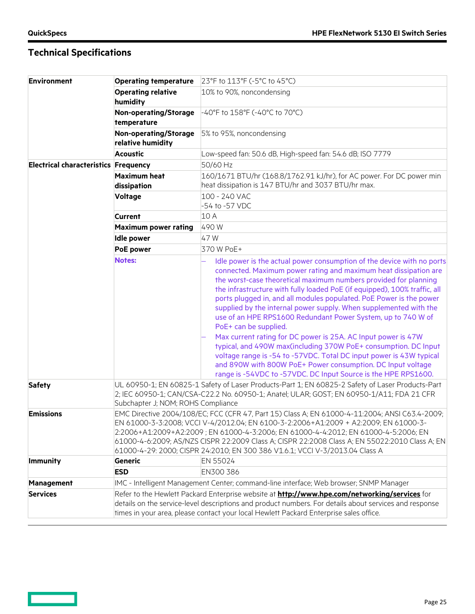<u>and</u>

| <b>Environment</b>                          | <b>Operating temperature</b>                                                                                                                                                                                                                                                                                                                                                                                                                                    | 23°F to 113°F (-5°C to 45°C)                                                                                                                                                                                                                                                                                                                                                                                                                                                                                                                                                                                                                                                                                                                                                                                                                                                 |  |
|---------------------------------------------|-----------------------------------------------------------------------------------------------------------------------------------------------------------------------------------------------------------------------------------------------------------------------------------------------------------------------------------------------------------------------------------------------------------------------------------------------------------------|------------------------------------------------------------------------------------------------------------------------------------------------------------------------------------------------------------------------------------------------------------------------------------------------------------------------------------------------------------------------------------------------------------------------------------------------------------------------------------------------------------------------------------------------------------------------------------------------------------------------------------------------------------------------------------------------------------------------------------------------------------------------------------------------------------------------------------------------------------------------------|--|
|                                             | <b>Operating relative</b><br>humidity                                                                                                                                                                                                                                                                                                                                                                                                                           | 10% to 90%, noncondensing                                                                                                                                                                                                                                                                                                                                                                                                                                                                                                                                                                                                                                                                                                                                                                                                                                                    |  |
|                                             | <b>Non-operating/Storage</b><br>temperature                                                                                                                                                                                                                                                                                                                                                                                                                     | -40°F to 158°F (-40°C to 70°C)                                                                                                                                                                                                                                                                                                                                                                                                                                                                                                                                                                                                                                                                                                                                                                                                                                               |  |
|                                             | Non-operating/Storage<br>relative humidity                                                                                                                                                                                                                                                                                                                                                                                                                      | 5% to 95%, noncondensing                                                                                                                                                                                                                                                                                                                                                                                                                                                                                                                                                                                                                                                                                                                                                                                                                                                     |  |
|                                             | <b>Acoustic</b>                                                                                                                                                                                                                                                                                                                                                                                                                                                 | Low-speed fan: 50.6 dB, High-speed fan: 54.6 dB; ISO 7779                                                                                                                                                                                                                                                                                                                                                                                                                                                                                                                                                                                                                                                                                                                                                                                                                    |  |
| <b>Electrical characteristics Frequency</b> |                                                                                                                                                                                                                                                                                                                                                                                                                                                                 | 50/60 Hz                                                                                                                                                                                                                                                                                                                                                                                                                                                                                                                                                                                                                                                                                                                                                                                                                                                                     |  |
|                                             | <b>Maximum heat</b><br>dissipation                                                                                                                                                                                                                                                                                                                                                                                                                              | 160/1671 BTU/hr (168.8/1762.91 kJ/hr), for AC power. For DC power min<br>heat dissipation is 147 BTU/hr and 3037 BTU/hr max.                                                                                                                                                                                                                                                                                                                                                                                                                                                                                                                                                                                                                                                                                                                                                 |  |
|                                             | <b>Voltage</b>                                                                                                                                                                                                                                                                                                                                                                                                                                                  | 100 - 240 VAC<br>-54 to -57 VDC                                                                                                                                                                                                                                                                                                                                                                                                                                                                                                                                                                                                                                                                                                                                                                                                                                              |  |
|                                             | <b>Current</b>                                                                                                                                                                                                                                                                                                                                                                                                                                                  | 10 A                                                                                                                                                                                                                                                                                                                                                                                                                                                                                                                                                                                                                                                                                                                                                                                                                                                                         |  |
|                                             | <b>Maximum power rating</b>                                                                                                                                                                                                                                                                                                                                                                                                                                     | 490W                                                                                                                                                                                                                                                                                                                                                                                                                                                                                                                                                                                                                                                                                                                                                                                                                                                                         |  |
|                                             | <b>Idle power</b>                                                                                                                                                                                                                                                                                                                                                                                                                                               | 47W                                                                                                                                                                                                                                                                                                                                                                                                                                                                                                                                                                                                                                                                                                                                                                                                                                                                          |  |
|                                             | PoE power                                                                                                                                                                                                                                                                                                                                                                                                                                                       | 370 W PoE+                                                                                                                                                                                                                                                                                                                                                                                                                                                                                                                                                                                                                                                                                                                                                                                                                                                                   |  |
|                                             | <b>Notes:</b>                                                                                                                                                                                                                                                                                                                                                                                                                                                   | Idle power is the actual power consumption of the device with no ports<br>connected. Maximum power rating and maximum heat dissipation are<br>the worst-case theoretical maximum numbers provided for planning<br>the infrastructure with fully loaded PoE (if equipped), 100% traffic, all<br>ports plugged in, and all modules populated. PoE Power is the power<br>supplied by the internal power supply. When supplemented with the<br>use of an HPE RPS1600 Redundant Power System, up to 740 W of<br>PoE+ can be supplied.<br>Max current rating for DC power is 25A. AC Input power is 47W<br>typical, and 490W max(including 370W PoE+ consumption. DC Input<br>voltage range is -54 to -57VDC. Total DC input power is 43W typical<br>and 890W with 800W PoE+ Power consumption. DC Input voltage<br>range is -54VDC to -57VDC. DC Input Source is the HPE RPS1600. |  |
| <b>Safety</b>                               |                                                                                                                                                                                                                                                                                                                                                                                                                                                                 | UL 60950-1; EN 60825-1 Safety of Laser Products-Part 1; EN 60825-2 Safety of Laser Products-Part<br>2; IEC 60950-1; CAN/CSA-C22.2 No. 60950-1; Anatel; ULAR; GOST; EN 60950-1/A11; FDA 21 CFR<br>Subchapter J; NOM; ROHS Compliance                                                                                                                                                                                                                                                                                                                                                                                                                                                                                                                                                                                                                                          |  |
| <b>Emissions</b>                            | EMC Directive 2004/108/EC; FCC (CFR 47, Part 15) Class A; EN 61000-4-11:2004; ANSI C63.4-2009;<br>EN 61000-3-3:2008; VCCI V-4/2012.04; EN 6100-3-2:2006+A1:2009 + A2:2009; EN 61000-3-<br>2:2006+A1:2009+A2:2009; EN 61000-4-3:2006; EN 61000-4-4:2012; EN 61000-4-5:2006; EN<br>61000-4-6:2009; AS/NZS CISPR 22:2009 Class A; CISPR 22:2008 Class A; EN 55022:2010 Class A; EN<br>61000-4-29: 2000; CISPR 24:2010; EN 300 386 V1.6.1; VCCI V-3/2013.04 Class A |                                                                                                                                                                                                                                                                                                                                                                                                                                                                                                                                                                                                                                                                                                                                                                                                                                                                              |  |
| <b>Immunity</b>                             | <b>Generic</b>                                                                                                                                                                                                                                                                                                                                                                                                                                                  | EN 55024                                                                                                                                                                                                                                                                                                                                                                                                                                                                                                                                                                                                                                                                                                                                                                                                                                                                     |  |
|                                             | <b>ESD</b>                                                                                                                                                                                                                                                                                                                                                                                                                                                      | EN300 386                                                                                                                                                                                                                                                                                                                                                                                                                                                                                                                                                                                                                                                                                                                                                                                                                                                                    |  |
| <b>Management</b>                           |                                                                                                                                                                                                                                                                                                                                                                                                                                                                 | IMC - Intelligent Management Center; command-line interface; Web browser; SNMP Manager                                                                                                                                                                                                                                                                                                                                                                                                                                                                                                                                                                                                                                                                                                                                                                                       |  |
| <b>Services</b>                             | Refer to the Hewlett Packard Enterprise website at <b>http://www.hpe.com/networking/services</b> for<br>details on the service-level descriptions and product numbers. For details about services and response<br>times in your area, please contact your local Hewlett Packard Enterprise sales office.                                                                                                                                                        |                                                                                                                                                                                                                                                                                                                                                                                                                                                                                                                                                                                                                                                                                                                                                                                                                                                                              |  |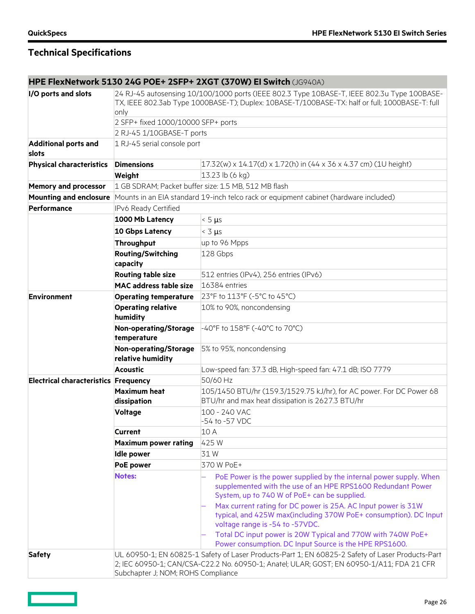|                                             |                                                                                                                                                                                                                                     | HPE FlexNetwork 5130 24G POE+ 2SFP+ 2XGT (370W) El Switch (JG940A)                                                                                                                |  |
|---------------------------------------------|-------------------------------------------------------------------------------------------------------------------------------------------------------------------------------------------------------------------------------------|-----------------------------------------------------------------------------------------------------------------------------------------------------------------------------------|--|
| I/O ports and slots                         | 24 RJ-45 autosensing 10/100/1000 ports (IEEE 802.3 Type 10BASE-T, IEEE 802.3u Type 100BASE-<br>TX, IEEE 802.3ab Type 1000BASE-T); Duplex: 10BASE-T/100BASE-TX: half or full; 1000BASE-T: full                                       |                                                                                                                                                                                   |  |
|                                             | only                                                                                                                                                                                                                                |                                                                                                                                                                                   |  |
|                                             | 2 SFP+ fixed 1000/10000 SFP+ ports                                                                                                                                                                                                  |                                                                                                                                                                                   |  |
|                                             | 2 RJ-45 1/10GBASE-T ports                                                                                                                                                                                                           |                                                                                                                                                                                   |  |
| <b>Additional ports and</b><br>slots        | 1 RJ-45 serial console port                                                                                                                                                                                                         |                                                                                                                                                                                   |  |
| <b>Physical characteristics</b>             | <b>Dimensions</b>                                                                                                                                                                                                                   | $17.32(w)$ x 14.17(d) x 1.72(h) in (44 x 36 x 4.37 cm) (1U height)                                                                                                                |  |
|                                             | Weight                                                                                                                                                                                                                              | 13.23 lb (6 kg)                                                                                                                                                                   |  |
| <b>Memory and processor</b>                 |                                                                                                                                                                                                                                     | 1 GB SDRAM; Packet buffer size: 1.5 MB, 512 MB flash                                                                                                                              |  |
|                                             |                                                                                                                                                                                                                                     | Mounting and enclosure Mounts in an EIA standard 19-inch telco rack or equipment cabinet (hardware included)                                                                      |  |
| Performance                                 | IPv6 Ready Certified                                                                                                                                                                                                                |                                                                                                                                                                                   |  |
|                                             | 1000 Mb Latency                                                                                                                                                                                                                     | $< 5 \mu s$                                                                                                                                                                       |  |
|                                             | <b>10 Gbps Latency</b>                                                                                                                                                                                                              | $< 3 \mu s$                                                                                                                                                                       |  |
|                                             | Throughput                                                                                                                                                                                                                          | up to 96 Mpps                                                                                                                                                                     |  |
|                                             | <b>Routing/Switching</b>                                                                                                                                                                                                            | 128 Gbps                                                                                                                                                                          |  |
|                                             | capacity                                                                                                                                                                                                                            |                                                                                                                                                                                   |  |
|                                             | <b>Routing table size</b>                                                                                                                                                                                                           | 512 entries (IPv4), 256 entries (IPv6)                                                                                                                                            |  |
|                                             | <b>MAC address table size</b>                                                                                                                                                                                                       | 16384 entries                                                                                                                                                                     |  |
| <b>Environment</b>                          | <b>Operating temperature</b>                                                                                                                                                                                                        | 23°F to 113°F (-5°C to 45°C)                                                                                                                                                      |  |
|                                             | <b>Operating relative</b><br>humidity                                                                                                                                                                                               | 10% to 90%, noncondensing                                                                                                                                                         |  |
|                                             | Non-operating/Storage<br>temperature                                                                                                                                                                                                | -40°F to 158°F (-40°C to 70°C)                                                                                                                                                    |  |
|                                             | Non-operating/Storage<br>relative humidity                                                                                                                                                                                          | 5% to 95%, noncondensing                                                                                                                                                          |  |
|                                             | <b>Acoustic</b>                                                                                                                                                                                                                     | Low-speed fan: 37.3 dB, High-speed fan: 47.1 dB; ISO 7779                                                                                                                         |  |
| <b>Electrical characteristics Frequency</b> |                                                                                                                                                                                                                                     | 50/60 Hz                                                                                                                                                                          |  |
|                                             | <b>Maximum heat</b><br>dissipation                                                                                                                                                                                                  | 105/1450 BTU/hr (159.3/1529.75 kJ/hr), for AC power. For DC Power 68<br>BTU/hr and max heat dissipation is 2627.3 BTU/hr                                                          |  |
|                                             | Voltage                                                                                                                                                                                                                             | 100 - 240 VAC<br>-54 to -57 VDC                                                                                                                                                   |  |
|                                             | <b>Current</b>                                                                                                                                                                                                                      | 10 A                                                                                                                                                                              |  |
|                                             | <b>Maximum power rating</b>                                                                                                                                                                                                         | 425W                                                                                                                                                                              |  |
|                                             | <b>Idle power</b>                                                                                                                                                                                                                   | 31W                                                                                                                                                                               |  |
|                                             | <b>PoE power</b>                                                                                                                                                                                                                    | 370 W PoE+                                                                                                                                                                        |  |
|                                             | <b>Notes:</b>                                                                                                                                                                                                                       | PoE Power is the power supplied by the internal power supply. When<br>supplemented with the use of an HPE RPS1600 Redundant Power<br>System, up to 740 W of PoE+ can be supplied. |  |
|                                             |                                                                                                                                                                                                                                     | Max current rating for DC power is 25A. AC Input power is 31W<br>typical, and 425W max(including 370W PoE+ consumption). DC Input<br>voltage range is -54 to -57VDC.              |  |
|                                             |                                                                                                                                                                                                                                     | Total DC input power is 20W Typical and 770W with 740W PoE+<br>Power consumption. DC Input Source is the HPE RPS1600.                                                             |  |
| <b>Safety</b>                               | UL 60950-1; EN 60825-1 Safety of Laser Products-Part 1; EN 60825-2 Safety of Laser Products-Part<br>2; IEC 60950-1; CAN/CSA-C22.2 No. 60950-1; Anatel; ULAR; GOST; EN 60950-1/A11; FDA 21 CFR<br>Subchapter J; NOM; ROHS Compliance |                                                                                                                                                                                   |  |

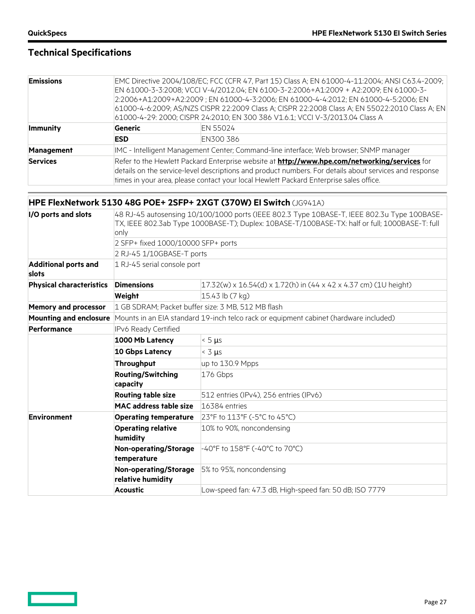<u>and a sta</u>

# **Technical Specifications**

| <b>Emissions</b> |            | EMC Directive 2004/108/EC; FCC (CFR 47, Part 15) Class A; EN 61000-4-11:2004; ANSI C63.4-2009;<br>EN 61000-3-3:2008; VCCI V-4/2012.04; EN 6100-3-2:2006+A1:2009 + A2:2009; EN 61000-3-<br>2:2006+A1:2009+A2:2009; EN 61000-4-3:2006; EN 61000-4-4:2012; EN 61000-4-5:2006; EN<br>61000-4-6:2009; AS/NZS CISPR 22:2009 Class A; CISPR 22:2008 Class A; EN 55022:2010 Class A; EN<br>61000-4-29: 2000; CISPR 24:2010; EN 300 386 V1.6.1; VCCI V-3/2013.04 Class A |  |  |
|------------------|------------|-----------------------------------------------------------------------------------------------------------------------------------------------------------------------------------------------------------------------------------------------------------------------------------------------------------------------------------------------------------------------------------------------------------------------------------------------------------------|--|--|
| <b>Immunity</b>  | Generic    | EN 55024                                                                                                                                                                                                                                                                                                                                                                                                                                                        |  |  |
|                  | <b>ESD</b> | EN300 386                                                                                                                                                                                                                                                                                                                                                                                                                                                       |  |  |
| Management       |            | IMC - Intelligent Management Center; Command-line interface; Web browser; SNMP manager                                                                                                                                                                                                                                                                                                                                                                          |  |  |
| <b>Services</b>  |            | Refer to the Hewlett Packard Enterprise website at <b>http://www.hpe.com/networking/services</b> for<br>details on the service-level descriptions and product numbers. For details about services and response<br>times in your area, please contact your local Hewlett Packard Enterprise sales office.                                                                                                                                                        |  |  |

### **HPE FlexNetwork 5130 48G POE+ 2SFP+ 2XGT (370W) EI Switch** (JG941A)

| I/O ports and slots                  | 48 RJ-45 autosensing 10/100/1000 ports (IEEE 802.3 Type 10BASE-T, IEEE 802.3u Type 100BASE-<br>TX, IEEE 802.3ab Type 1000BASE-T); Duplex: 10BASE-T/100BASE-TX: half or full; 1000BASE-T: full<br>only |                                                                                          |  |
|--------------------------------------|-------------------------------------------------------------------------------------------------------------------------------------------------------------------------------------------------------|------------------------------------------------------------------------------------------|--|
|                                      | 2 SFP+ fixed 1000/10000 SFP+ ports                                                                                                                                                                    |                                                                                          |  |
|                                      | 2 RJ-45 1/10GBASE-T ports                                                                                                                                                                             |                                                                                          |  |
| <b>Additional ports and</b><br>slots | 1 RJ-45 serial console port                                                                                                                                                                           |                                                                                          |  |
| <b>Physical characteristics</b>      | <b>Dimensions</b>                                                                                                                                                                                     | $17.32(w) \times 16.54(d) \times 1.72(h)$ in $(44 \times 42 \times 4.37$ cm) (1U height) |  |
|                                      | Weight                                                                                                                                                                                                | 15.43 lb (7 kg)                                                                          |  |
| <b>Memory and processor</b>          | 1 GB SDRAM; Packet buffer size: 3 MB, 512 MB flash                                                                                                                                                    |                                                                                          |  |
|                                      | <b>Mounting and enclosure</b> Mounts in an EIA standard 19-inch telco rack or equipment cabinet (hardware included)                                                                                   |                                                                                          |  |
| Performance                          | IPv6 Ready Certified                                                                                                                                                                                  |                                                                                          |  |
|                                      | 1000 Mb Latency                                                                                                                                                                                       | $< 5 \mu s$                                                                              |  |
|                                      | <b>10 Gbps Latency</b>                                                                                                                                                                                | $<$ 3 µs                                                                                 |  |
|                                      | Throughput                                                                                                                                                                                            | up to 130.9 Mpps                                                                         |  |
|                                      | <b>Routing/Switching</b><br>capacity                                                                                                                                                                  | 176 Gbps                                                                                 |  |
|                                      | <b>Routing table size</b>                                                                                                                                                                             | 512 entries (IPv4), 256 entries (IPv6)                                                   |  |
|                                      | <b>MAC address table size</b>                                                                                                                                                                         | 16384 entries                                                                            |  |
| <b>Environment</b>                   | <b>Operating temperature</b>                                                                                                                                                                          | 23°F to 113°F (-5°C to 45°C)                                                             |  |
|                                      | <b>Operating relative</b><br>humidity                                                                                                                                                                 | 10% to 90%, noncondensing                                                                |  |
|                                      | <b>Non-operating/Storage</b><br>temperature                                                                                                                                                           | -40°F to 158°F (-40°C to 70°C)                                                           |  |
|                                      | <b>Non-operating/Storage</b><br>relative humidity                                                                                                                                                     | 5% to 95%, noncondensing                                                                 |  |
|                                      | <b>Acoustic</b>                                                                                                                                                                                       | Low-speed fan: 47.3 dB, High-speed fan: 50 dB; ISO 7779                                  |  |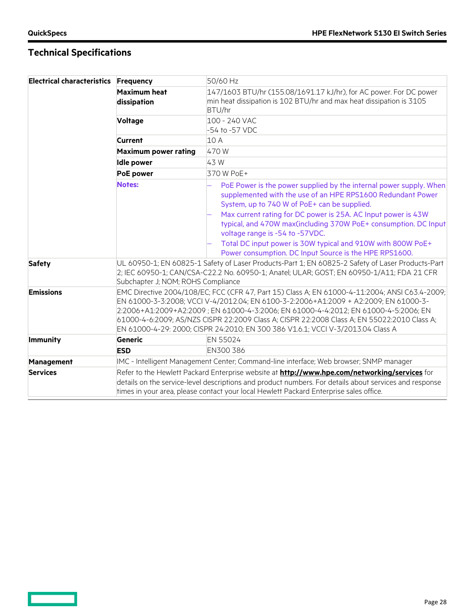$\qquad \qquad \Box$ 

| <b>Electrical characteristics Frequency</b> |                                    | 50/60 Hz                                                                                                                                                                                                                                                                                                                                                                                                                                                        |
|---------------------------------------------|------------------------------------|-----------------------------------------------------------------------------------------------------------------------------------------------------------------------------------------------------------------------------------------------------------------------------------------------------------------------------------------------------------------------------------------------------------------------------------------------------------------|
|                                             | <b>Maximum heat</b><br>dissipation | 147/1603 BTU/hr (155.08/1691.17 kJ/hr), for AC power. For DC power<br>min heat dissipation is 102 BTU/hr and max heat dissipation is 3105<br>BTU/hr                                                                                                                                                                                                                                                                                                             |
|                                             | <b>Voltage</b>                     | 100 - 240 VAC<br>-54 to -57 VDC                                                                                                                                                                                                                                                                                                                                                                                                                                 |
|                                             | Current                            | 10 A                                                                                                                                                                                                                                                                                                                                                                                                                                                            |
|                                             | <b>Maximum power rating</b>        | 470W                                                                                                                                                                                                                                                                                                                                                                                                                                                            |
|                                             | <b>Idle power</b>                  | 43W                                                                                                                                                                                                                                                                                                                                                                                                                                                             |
|                                             | PoE power                          | 370 W PoE+                                                                                                                                                                                                                                                                                                                                                                                                                                                      |
|                                             | <b>Notes:</b>                      | PoE Power is the power supplied by the internal power supply. When<br>supplemented with the use of an HPE RPS1600 Redundant Power<br>System, up to 740 W of PoE+ can be supplied.                                                                                                                                                                                                                                                                               |
|                                             |                                    | Max current rating for DC power is 25A. AC Input power is 43W<br>typical, and 470W max(including 370W PoE+ consumption. DC Input<br>voltage range is -54 to -57VDC.                                                                                                                                                                                                                                                                                             |
|                                             |                                    | Total DC input power is 30W typical and 910W with 800W PoE+<br>Power consumption. DC Input Source is the HPE RPS1600.                                                                                                                                                                                                                                                                                                                                           |
| <b>Safety</b>                               | Subchapter J; NOM; ROHS Compliance | UL 60950-1; EN 60825-1 Safety of Laser Products-Part 1; EN 60825-2 Safety of Laser Products-Part<br>2; IEC 60950-1; CAN/CSA-C22.2 No. 60950-1; Anatel; ULAR; GOST; EN 60950-1/A11; FDA 21 CFR                                                                                                                                                                                                                                                                   |
| <b>Emissions</b>                            |                                    | EMC Directive 2004/108/EC; FCC (CFR 47, Part 15) Class A; EN 61000-4-11:2004; ANSI C63.4-2009;<br>EN 61000-3-3:2008; VCCI V-4/2012.04; EN 6100-3-2:2006+A1:2009 + A2:2009; EN 61000-3-<br>2:2006+A1:2009+A2:2009; EN 61000-4-3:2006; EN 61000-4-4:2012; EN 61000-4-5:2006; EN<br>61000-4-6:2009; AS/NZS CISPR 22:2009 Class A; CISPR 22:2008 Class A; EN 55022:2010 Class A;<br>EN 61000-4-29: 2000; CISPR 24:2010; EN 300 386 V1.6.1; VCCI V-3/2013.04 Class A |
| <b>Immunity</b>                             | <b>Generic</b>                     | EN 55024                                                                                                                                                                                                                                                                                                                                                                                                                                                        |
|                                             | <b>ESD</b>                         | EN300 386                                                                                                                                                                                                                                                                                                                                                                                                                                                       |
| Management                                  |                                    | IMC - Intelligent Management Center; Command-line interface; Web browser; SNMP manager                                                                                                                                                                                                                                                                                                                                                                          |
| <b>Services</b>                             |                                    | Refer to the Hewlett Packard Enterprise website at <b>http://www.hpe.com/networking/services</b> for<br>details on the service-level descriptions and product numbers. For details about services and response<br>times in your area, please contact your local Hewlett Packard Enterprise sales office.                                                                                                                                                        |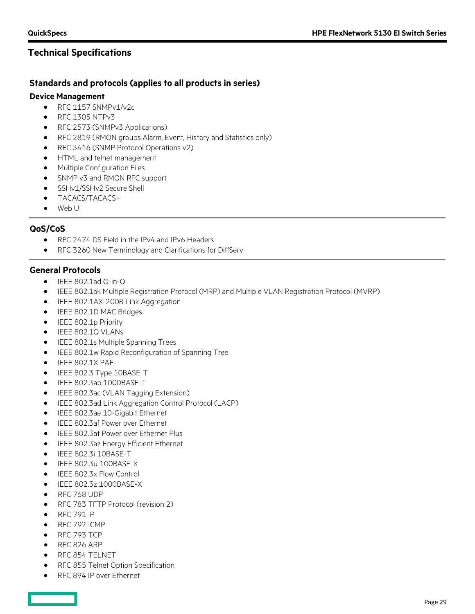### **Standards and protocols (applies to all products in series)**

#### **Device Management**

- RFC 1157 SNMPv1/v2c
- $\bullet$  RFC 1305 NTPv3
- RFC 2573 (SNMPv3 Applications)
- RFC 2819 (RMON groups Alarm, Event, History and Statistics only)
- RFC 3416 (SNMP Protocol Operations v2)
- HTML and telnet management
- Multiple Configuration Files
- SNMP v3 and RMON RFC support
- SSHv1/SSHv2 Secure Shell
- TACACS/TACACS+
- Web UI

### **QoS/CoS**

- RFC 2474 DS Field in the IPv4 and IPv6 Headers
- RFC 3260 New Terminology and Clarifications for DiffServ

### **General Protocols**

- IEEE 802.1ad Q-in-Q
- IEEE 802.1ak Multiple Registration Protocol (MRP) and Multiple VLAN Registration Protocol (MVRP)
- IEEE 802.1AX-2008 Link Aggregation
- IEEE 802.1D MAC Bridges
- IEEE 802.1p Priority
- IEEE 802.1Q VLANs
- IEEE 802.1s Multiple Spanning Trees
- IEEE 802.1w Rapid Reconfiguration of Spanning Tree
- IEEE 802.1X PAE
- IEEE 802.3 Type 10BASE-T
- IEEE 802.3ab 1000BASE-T
- IEEE 802.3ac (VLAN Tagging Extension)
- IEEE 802.3ad Link Aggregation Control Protocol (LACP)
- IEEE 802.3ae 10-Gigabit Ethernet
- IEEE 802.3af Power over Ethernet
- IEEE 802.3at Power over Ethernet Plus
- IEEE 802.3az Energy Efficient Ethernet
- IEEE 802.3i 10BASE-T
- IEEE 802.3u 100BASE-X
- IEEE 802.3x Flow Control
- IEEE 802.3z 1000BASE-X
- RFC 768 UDP
- RFC 783 TFTP Protocol (revision 2)
- RFC 791 IP
- RFC 792 ICMP
- RFC 793 TCP
- RFC 826 ARP
- RFC 854 TELNET
- RFC 855 Telnet Option Specification
- RFC 894 IP over Ethernet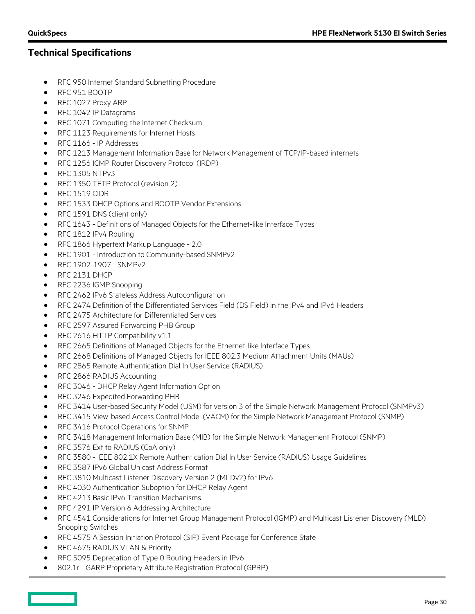- RFC 950 Internet Standard Subnetting Procedure
- RFC 951 BOOTP
- RFC 1027 Proxy ARP
- RFC 1042 IP Datagrams
- RFC 1071 Computing the Internet Checksum
- RFC 1123 Requirements for Internet Hosts
- RFC 1166 IP Addresses
- RFC 1213 Management Information Base for Network Management of TCP/IP-based internets
- RFC 1256 ICMP Router Discovery Protocol (IRDP)
- RFC 1305 NTPv3
- RFC 1350 TFTP Protocol (revision 2)
- RFC 1519 CIDR
- RFC 1533 DHCP Options and BOOTP Vendor Extensions
- RFC 1591 DNS (client only)
- RFC 1643 Definitions of Managed Objects for the Ethernet-like Interface Types
- RFC 1812 IPv4 Routing
- RFC 1866 Hypertext Markup Language 2.0
- RFC 1901 Introduction to Community-based SNMPv2
- RFC 1902-1907 SNMPv2
- RFC 2131 DHCP
- RFC 2236 IGMP Snooping
- RFC 2462 IPv6 Stateless Address Autoconfiguration
- RFC 2474 Definition of the Differentiated Services Field (DS Field) in the IPv4 and IPv6 Headers
- RFC 2475 Architecture for Differentiated Services
- RFC 2597 Assured Forwarding PHB Group
- RFC 2616 HTTP Compatibility v1.1
- RFC 2665 Definitions of Managed Objects for the Ethernet-like Interface Types
- RFC 2668 Definitions of Managed Objects for IEEE 802.3 Medium Attachment Units (MAUs)
- RFC 2865 Remote Authentication Dial In User Service (RADIUS)
- RFC 2866 RADIUS Accounting
- RFC 3046 DHCP Relay Agent Information Option
- RFC 3246 Expedited Forwarding PHB
- RFC 3414 User-based Security Model (USM) for version 3 of the Simple Network Management Protocol (SNMPv3)
- RFC 3415 View-based Access Control Model (VACM) for the Simple Network Management Protocol (SNMP)
- RFC 3416 Protocol Operations for SNMP
- RFC 3418 Management Information Base (MIB) for the Simple Network Management Protocol (SNMP)
- RFC 3576 Ext to RADIUS (CoA only)
- RFC 3580 IEEE 802.1X Remote Authentication Dial In User Service (RADIUS) Usage Guidelines
- RFC 3587 IPv6 Global Unicast Address Format
- RFC 3810 Multicast Listener Discovery Version 2 (MLDv2) for IPv6
- RFC 4030 Authentication Suboption for DHCP Relay Agent
- RFC 4213 Basic IPv6 Transition Mechanisms
- RFC 4291 IP Version 6 Addressing Architecture
- RFC 4541 Considerations for Internet Group Management Protocol (IGMP) and Multicast Listener Discovery (MLD) Snooping Switches
- RFC 4575 A Session Initiation Protocol (SIP) Event Package for Conference State
- RFC 4675 RADIUS VLAN & Priority
- RFC 5095 Deprecation of Type 0 Routing Headers in IPv6
- 802.1r GARP Proprietary Attribute Registration Protocol (GPRP)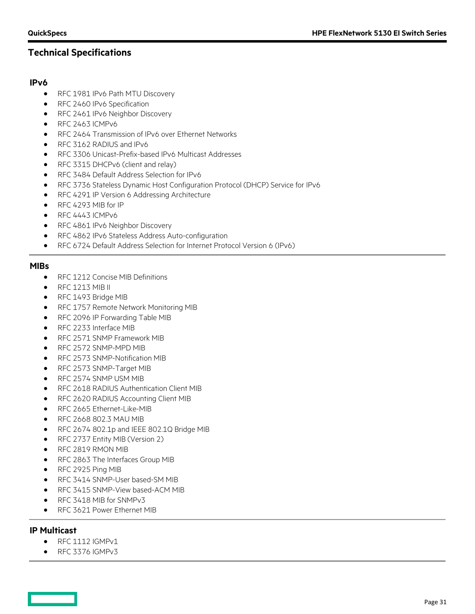### **IPv6**

- RFC 1981 IPv6 Path MTU Discovery
- RFC 2460 IPv6 Specification
- RFC 2461 IPv6 Neighbor Discovery
- RFC 2463 ICMPv6
- RFC 2464 Transmission of IPv6 over Ethernet Networks
- RFC 3162 RADIUS and IPv6
- RFC 3306 Unicast-Prefix-based IPv6 Multicast Addresses
- RFC 3315 DHCPv6 (client and relay)
- RFC 3484 Default Address Selection for IPv6
- RFC 3736 Stateless Dynamic Host Configuration Protocol (DHCP) Service for IPv6
- RFC 4291 IP Version 6 Addressing Architecture
- RFC 4293 MIB for IP
- $\bullet$  RFC 4443 ICMPv6
- RFC 4861 IPv6 Neighbor Discovery
- RFC 4862 IPv6 Stateless Address Auto-configuration
- RFC 6724 Default Address Selection for Internet Protocol Version 6 (IPv6)

#### **MIBs**

- RFC 1212 Concise MIB Definitions
- $\bullet$  RFC 1213 MIB II
- RFC 1493 Bridge MIB
- RFC 1757 Remote Network Monitoring MIB
- RFC 2096 IP Forwarding Table MIB
- RFC 2233 Interface MIB
- RFC 2571 SNMP Framework MIB
- RFC 2572 SNMP-MPD MIB
- RFC 2573 SNMP-Notification MIB
- RFC 2573 SNMP-Target MIB
- RFC 2574 SNMP USM MIB
- RFC 2618 RADIUS Authentication Client MIB
- RFC 2620 RADIUS Accounting Client MIB
- RFC 2665 Ethernet-Like-MIB
- RFC 2668 802.3 MAU MIB
- RFC 2674 802.1p and IEEE 802.1Q Bridge MIB
- RFC 2737 Entity MIB (Version 2)
- RFC 2819 RMON MIB
- RFC 2863 The Interfaces Group MIB
- RFC 2925 Ping MIB
- RFC 3414 SNMP-User based-SM MIB
- RFC 3415 SNMP-View based-ACM MIB
- RFC 3418 MIB for SNMPv3
- RFC 3621 Power Ethernet MIB

### **IP Multicast**

- RFC 1112 IGMPv1
- RFC 3376 IGMPv3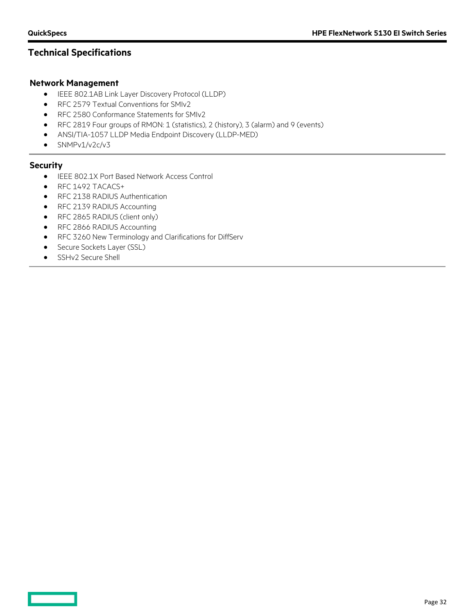### **Network Management**

- IEEE 802.1AB Link Layer Discovery Protocol (LLDP)
- RFC 2579 Textual Conventions for SMIv2
- RFC 2580 Conformance Statements for SMIv2
- RFC 2819 Four groups of RMON: 1 (statistics), 2 (history), 3 (alarm) and 9 (events)
- ANSI/TIA-1057 LLDP Media Endpoint Discovery (LLDP-MED)
- SNMPv1/v2c/v3

#### **Security**

- IEEE 802.1X Port Based Network Access Control
- RFC 1492 TACACS+
- RFC 2138 RADIUS Authentication
- RFC 2139 RADIUS Accounting
- RFC 2865 RADIUS (client only)
- RFC 2866 RADIUS Accounting
- RFC 3260 New Terminology and Clarifications for DiffServ
- Secure Sockets Layer (SSL)
- SSHv2 Secure Shell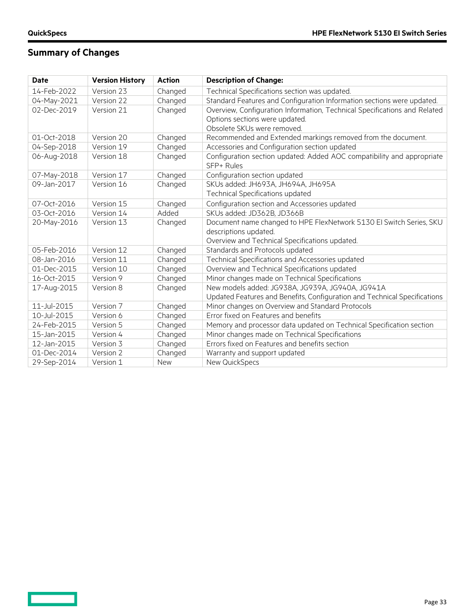$\qquad \qquad =$ 

# **Summary of Changes**

| <b>Date</b> | <b>Version History</b> | <b>Action</b> | <b>Description of Change:</b>                                                        |
|-------------|------------------------|---------------|--------------------------------------------------------------------------------------|
| 14-Feb-2022 | Version 23             | Changed       | Technical Specifications section was updated.                                        |
| 04-May-2021 | Version 22             | Changed       | Standard Features and Configuration Information sections were updated.               |
| 02-Dec-2019 | Version 21             | Changed       | Overview, Configuration Information, Technical Specifications and Related            |
|             |                        |               | Options sections were updated.                                                       |
|             |                        |               | Obsolete SKUs were removed.                                                          |
| 01-Oct-2018 | Version 20             | Changed       | Recommended and Extended markings removed from the document.                         |
| 04-Sep-2018 | Version 19             | Changed       | Accessories and Configuration section updated                                        |
| 06-Aug-2018 | Version 18             | Changed       | Configuration section updated: Added AOC compatibility and appropriate<br>SFP+ Rules |
| 07-May-2018 | Version 17             | Changed       | Configuration section updated                                                        |
| 09-Jan-2017 | Version 16             | Changed       | SKUs added: JH693A, JH694A, JH695A                                                   |
|             |                        |               | Technical Specifications updated                                                     |
| 07-Oct-2016 | Version 15             | Changed       | Configuration section and Accessories updated                                        |
| 03-Oct-2016 | Version 14             | Added         | SKUs added: JD362B, JD366B                                                           |
| 20-May-2016 | Version 13             | Changed       | Document name changed to HPE FlexNetwork 5130 EI Switch Series, SKU                  |
|             |                        |               | descriptions updated.                                                                |
|             |                        |               | Overview and Technical Specifications updated.                                       |
| 05-Feb-2016 | Version 12             | Changed       | Standards and Protocols updated                                                      |
| 08-Jan-2016 | Version 11             | Changed       | Technical Specifications and Accessories updated                                     |
| 01-Dec-2015 | Version 10             | Changed       | Overview and Technical Specifications updated                                        |
| 16-Oct-2015 | Version 9              | Changed       | Minor changes made on Technical Specifications                                       |
| 17-Aug-2015 | Version 8              | Changed       | New models added: JG938A, JG939A, JG940A, JG941A                                     |
|             |                        |               | Updated Features and Benefits, Configuration and Technical Specifications            |
| 11-Jul-2015 | Version 7              | Changed       | Minor changes on Overview and Standard Protocols                                     |
| 10-Jul-2015 | Version 6              | Changed       | Error fixed on Features and benefits                                                 |
| 24-Feb-2015 | Version 5              | Changed       | Memory and processor data updated on Technical Specification section                 |
| 15-Jan-2015 | Version 4              | Changed       | Minor changes made on Technical Specifications                                       |
| 12-Jan-2015 | Version 3              | Changed       | Errors fixed on Features and benefits section                                        |
| 01-Dec-2014 | Version 2              | Changed       | Warranty and support updated                                                         |
| 29-Sep-2014 | Version 1              | <b>New</b>    | New QuickSpecs                                                                       |